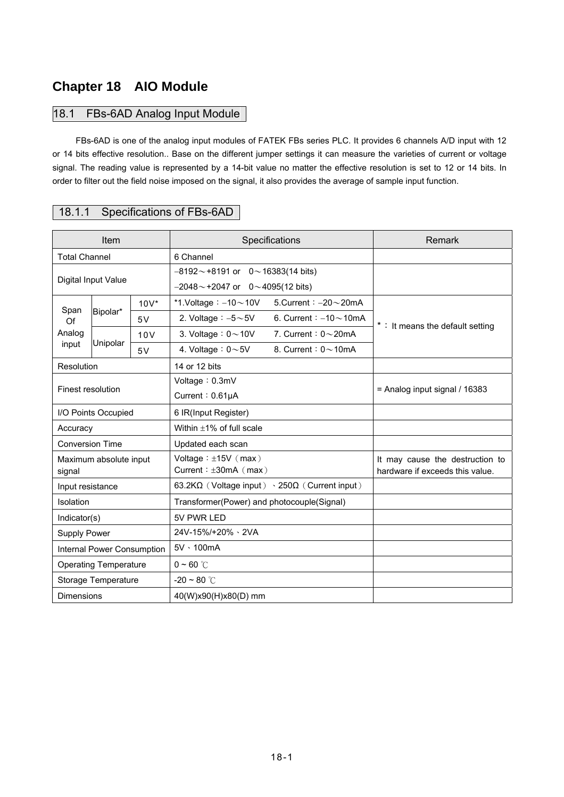# **Chapter 18 AIO Module**

## 18.1 FBs-6AD Analog Input Module

FBs-6AD is one of the analog input modules of FATEK FBs series PLC. It provides 6 channels A/D input with 12 or 14 bits effective resolution.. Base on the different jumper settings it can measure the varieties of current or voltage signal. The reading value is represented by a 14-bit value no matter the effective resolution is set to 12 or 14 bits. In order to filter out the field noise imposed on the signal, it also provides the average of sample input function.

# 18.1.1 Specifications of FBs-6AD

|                              | Item                   |         | Specifications                                                      | Remark                                                             |  |
|------------------------------|------------------------|---------|---------------------------------------------------------------------|--------------------------------------------------------------------|--|
| <b>Total Channel</b>         |                        |         | 6 Channel                                                           |                                                                    |  |
|                              |                        |         | $-8192 \sim +8191$ or 0 $\sim$ 16383(14 bits)                       |                                                                    |  |
|                              | Digital Input Value    |         | $-2048 \sim +2047$ or 0 ~ 4095(12 bits)                             |                                                                    |  |
|                              |                        | $10V^*$ | *1.Voltage: $-10$ ~ 10V<br>5. Current: $-20 - 20$ mA                |                                                                    |  |
| Span<br>Of                   | Bipolar*               | 5V      | 2. Voltage $: -5{\sim}5V$<br>6. Current : $-10$ ~ 10mA              |                                                                    |  |
| Analog                       |                        | 10V     | 3. Voltage: $0 \sim 10V$<br>7. Current: $0\sim$ 20mA                | *: It means the default setting                                    |  |
| input                        | Unipolar               | 5V      | 4. Voltage: $0 \sim 5V$<br>8. Current: $0 \sim 10$ mA               |                                                                    |  |
| <b>Resolution</b>            |                        |         | 14 or 12 bits                                                       |                                                                    |  |
|                              |                        |         | Voltage: 0.3mV                                                      |                                                                    |  |
| Finest resolution            |                        |         | Current: 0.61µA                                                     | $=$ Analog input signal / 16383                                    |  |
| I/O Points Occupied          |                        |         | 6 IR(Input Register)                                                |                                                                    |  |
| Accuracy                     |                        |         | Within $\pm 1\%$ of full scale                                      |                                                                    |  |
| <b>Conversion Time</b>       |                        |         | Updated each scan                                                   |                                                                    |  |
| signal                       | Maximum absolute input |         | Voltage: $\pm 15V$ (max)<br>Current: $\pm 30$ mA (max)              | It may cause the destruction to<br>hardware if exceeds this value. |  |
| Input resistance             |                        |         | 63.2K $\Omega$ (Voltage input) $\cdot$ 250 $\Omega$ (Current input) |                                                                    |  |
| Isolation                    |                        |         | Transformer(Power) and photocouple(Signal)                          |                                                                    |  |
| Indicator(s)                 |                        |         | 5V PWR LED                                                          |                                                                    |  |
| <b>Supply Power</b>          |                        |         | 24V-15%/+20% \ 2VA                                                  |                                                                    |  |
| Internal Power Consumption   |                        |         | 5V · 100mA                                                          |                                                                    |  |
| <b>Operating Temperature</b> |                        |         | $0 - 60$ °C                                                         |                                                                    |  |
|                              | Storage Temperature    |         | $-20 \sim 80$ °C                                                    |                                                                    |  |
| <b>Dimensions</b>            |                        |         | 40(W)x90(H)x80(D) mm                                                |                                                                    |  |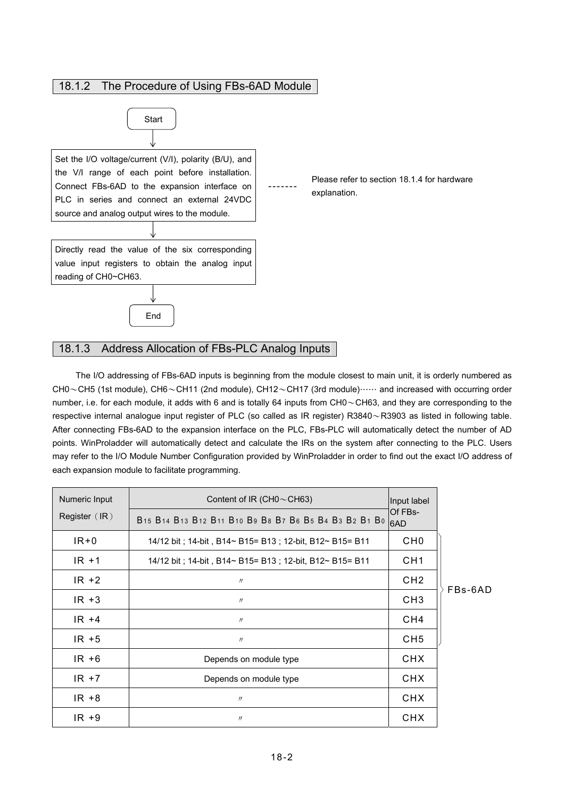

### 18.1.3 Address Allocation of FBs-PLC Analog Inputs

The I/O addressing of FBs-6AD inputs is beginning from the module closest to main unit, it is orderly numbered as CH0~CH5 (1st module), CH6~CH11 (2nd module), CH12~CH17 (3rd module)…… and increased with occurring order number, i.e. for each module, it adds with 6 and is totally 64 inputs from CH0~CH63, and they are corresponding to the respective internal analogue input register of PLC (so called as IR register) R3840~R3903 as listed in following table. After connecting FBs-6AD to the expansion interface on the PLC, FBs-PLC will automatically detect the number of AD points. WinProladder will automatically detect and calculate the IRs on the system after connecting to the PLC. Users may refer to the I/O Module Number Configuration provided by WinProladder in order to find out the exact I/O address of each expansion module to facilitate programming.

| Numeric Input   | Content of IR (CH0 $\sim$ CH63)                            | Input label     |         |
|-----------------|------------------------------------------------------------|-----------------|---------|
| Register $(IR)$ | B15 B14 B13 B12 B11 B10 B9 B8 B7 B6 B5 B4 B3 B2 B1 B0 6AD  | Of FBs-         |         |
| $IR + 0$        | 14/12 bit : 14-bit , B14~ B15= B13 ; 12-bit, B12~ B15= B11 | CH <sub>0</sub> |         |
| $IR + 1$        | 14/12 bit : 14-bit , B14~ B15= B13 ; 12-bit, B12~ B15= B11 | CH <sub>1</sub> |         |
| $IR + 2$        | $^{\prime\prime}$                                          | CH <sub>2</sub> |         |
| $IR + 3$        | $^{\prime\prime}$                                          | CH <sub>3</sub> | FBs-6AD |
| $IR +4$         | $\prime\prime$                                             | CH4             |         |
| $IR + 5$        | $\prime\prime$                                             | CH <sub>5</sub> |         |
| $IR + 6$        | Depends on module type                                     | <b>CHX</b>      |         |
| $IR + 7$        | Depends on module type                                     | <b>CHX</b>      |         |
| $IR + 8$        | $^{\prime\prime}$                                          | <b>CHX</b>      |         |
| $IR + 9$        | $^{\prime\prime}$                                          | <b>CHX</b>      |         |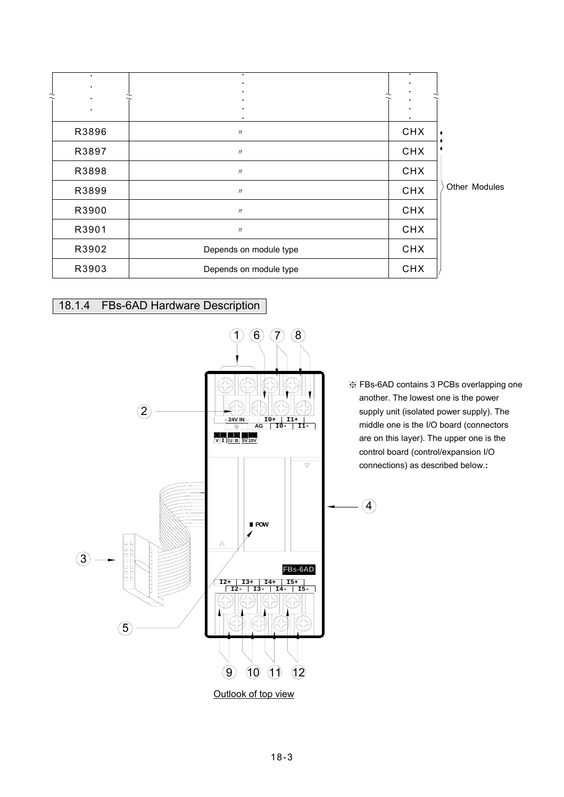|                | $\bullet$<br>٠ | $\bullet$                 | ٠          |               |
|----------------|----------------|---------------------------|------------|---------------|
| $\tilde{\sim}$ | ٠              | $\widetilde{\phantom{m}}$ |            |               |
|                |                |                           |            |               |
|                | R3896          | $\prime\prime$            | <b>CHX</b> |               |
|                | R3897          | $^{\prime\prime}$         | <b>CHX</b> |               |
|                | R3898          | $\prime\prime$            | <b>CHX</b> |               |
|                | R3899          | $^{\prime\prime}$         | <b>CHX</b> | Other Modules |
|                | R3900          | $\prime\prime$            | <b>CHX</b> |               |
|                | R3901          | $\prime\prime$            | <b>CHX</b> |               |
|                | R3902          | Depends on module type    | <b>CHX</b> |               |
|                | R3903          | Depends on module type    | <b>CHX</b> |               |

# 18.1.4 FBs-6AD Hardware Description



※ FBs-6AD contains 3 PCBs overlapping one another. The lowest one is the power supply unit (isolated power supply). The middle one is the I/O board (connectors are on this layer). The upper one is the control board (control/expansion I/O connections) as described below.**:**

 $\bigcirc$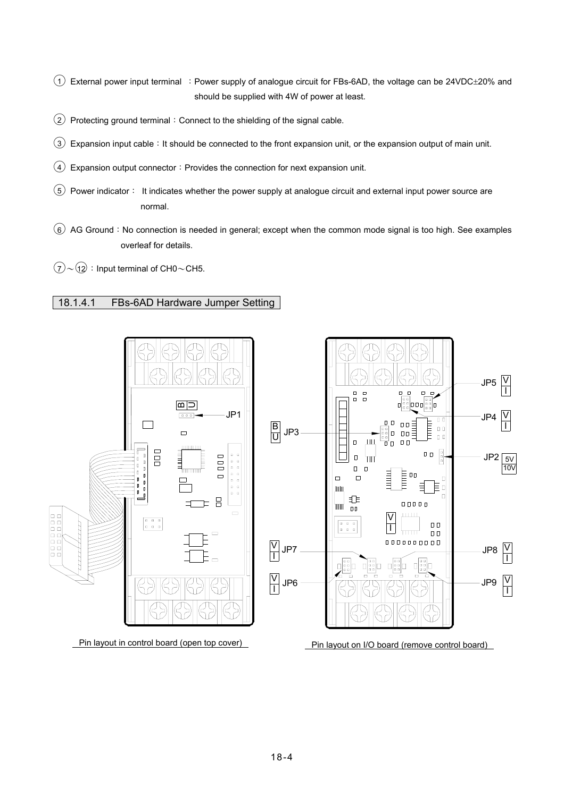$(1)$  External power input terminal : Power supply of analogue circuit for FBs-6AD, the voltage can be 24VDC $\pm$ 20% and should be supplied with 4W of power at least.

- ○2 Protecting ground terminal:Connect to the shielding of the signal cable.
- $\overline{3}$  Expansion input cable: It should be connected to the front expansion unit, or the expansion output of main unit.
- $\overline{4}$  Expansion output connector: Provides the connection for next expansion unit.
- $(5)$  Power indicator: It indicates whether the power supply at analogue circuit and external input power source are normal.
- ○6 AG Ground:No connection is needed in general; except when the common mode signal is too high. See examples overleaf for details.
- $\overline{(7)} \sim \overline{(12)}$ : Input terminal of CH0 ~ CH5.

### 18.1.4.1 FBs-6AD Hardware Jumper Setting

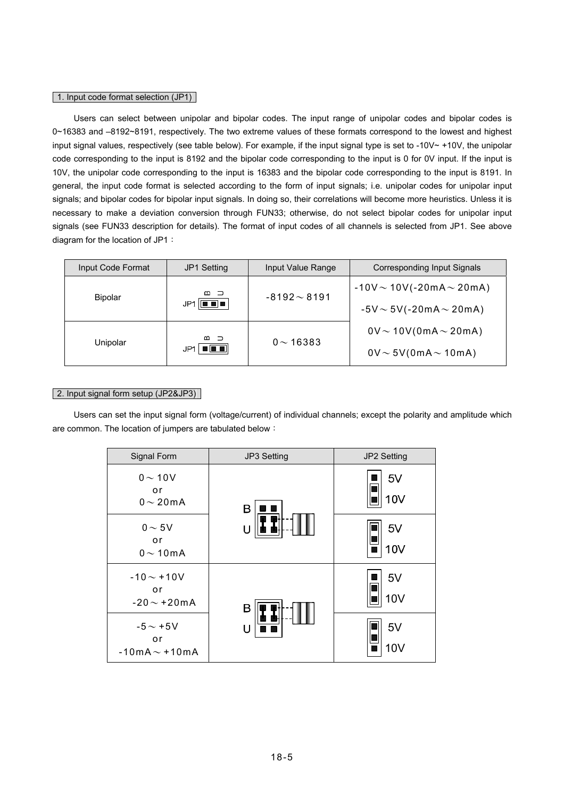#### 1. Input code format selection (JP1)

 Users can select between unipolar and bipolar codes. The input range of unipolar codes and bipolar codes is 0~16383 and –8192~8191, respectively. The two extreme values of these formats correspond to the lowest and highest input signal values, respectively (see table below). For example, if the input signal type is set to -10V $\sim$  +10V, the unipolar code corresponding to the input is 8192 and the bipolar code corresponding to the input is 0 for 0V input. If the input is 10V, the unipolar code corresponding to the input is 16383 and the bipolar code corresponding to the input is 8191. In general, the input code format is selected according to the form of input signals; i.e. unipolar codes for unipolar input signals; and bipolar codes for bipolar input signals. In doing so, their correlations will become more heuristics. Unless it is necessary to make a deviation conversion through FUN33; otherwise, do not select bipolar codes for unipolar input signals (see FUN33 description for details). The format of input codes of all channels is selected from JP1. See above diagram for the location of JP1:

| Input Code Format | <b>JP1 Setting</b>                                       | Input Value Range | Corresponding Input Signals      |
|-------------------|----------------------------------------------------------|-------------------|----------------------------------|
| <b>Bipolar</b>    | മാ                                                       | $-8192 \sim 8191$ | $-10V \sim 10V(-20mA \sim 20mA)$ |
|                   | $JP1$ $\boxed{ \blacksquare \blacksquare } \blacksquare$ |                   | $-5V \sim 5V(-20mA \sim 20mA)$   |
|                   | മാ                                                       |                   | $0V \sim 10V(0mA \sim 20mA)$     |
| Unipolar          | $\ $ 0 0 0 $\ $<br>JP1.                                  | $0 \sim 16383$    | $0V \sim 5V(0mA \sim 10mA)$      |

### 2. Input signal form setup (JP2&JP3)

 Users can set the input signal form (voltage/current) of individual channels; except the polarity and amplitude which are common. The location of jumpers are tabulated below:

| Signal Form                                | JP3 Setting | JP2 Setting           |
|--------------------------------------------|-------------|-----------------------|
| $0 \sim 10V$<br>or<br>$0 \sim 20$ mA       | в           | 5V<br>10V             |
| $0 \sim 5V$<br>or<br>$0 \sim 10$ mA        | U           | 5V<br>10V             |
| $-10 - +10V$<br>or<br>$-20 \sim +20$ mA    | В           | 5V<br>10 <sub>V</sub> |
| $-5 \sim +5$ V<br>or<br>$-10mA \sim +10mA$ | U           | 5V<br>10 <sub>V</sub> |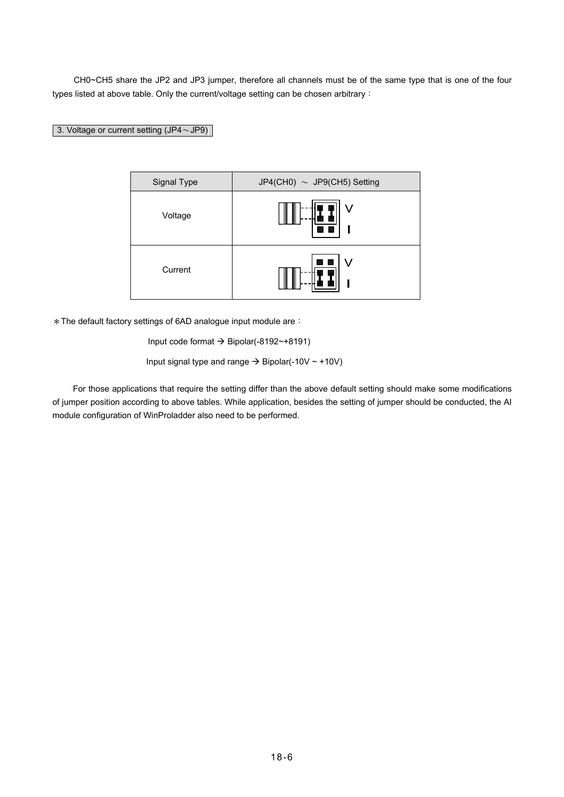CH0~CH5 share the JP2 and JP3 jumper, therefore all channels must be of the same type that is one of the four types listed at above table. Only the current/voltage setting can be chosen arbitrary:

## 3. Voltage or current setting (JP4~JP9)

| Signal Type | JP4(CH0) $\sim$ JP9(CH5) Setting |
|-------------|----------------------------------|
| Voltage     |                                  |
| Current     | V                                |

\*The default factory settings of 6AD analogue input module are:

Input code format  $\rightarrow$  Bipolar(-8192~+8191)

Input signal type and range  $\rightarrow$  Bipolar(-10V  $\sim$  +10V)

 For those applications that require the setting differ than the above default setting should make some modifications of jumper position according to above tables. While application, besides the setting of jumper should be conducted, the AI module configuration of WinProladder also need to be performed.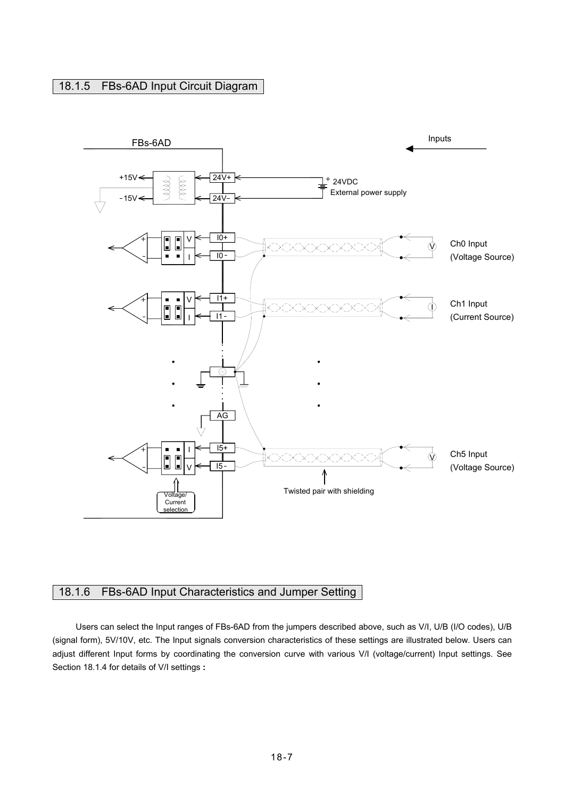## 18.1.5 FBs-6AD Input Circuit Diagram



## 18.1.6 FBs-6AD Input Characteristics and Jumper Setting

Users can select the Input ranges of FBs-6AD from the jumpers described above, such as V/I, U/B (I/O codes), U/B (signal form), 5V/10V, etc. The Input signals conversion characteristics of these settings are illustrated below. Users can adjust different Input forms by coordinating the conversion curve with various V/I (voltage/current) Input settings. See Section 18.1.4 for details of V/I settings **:**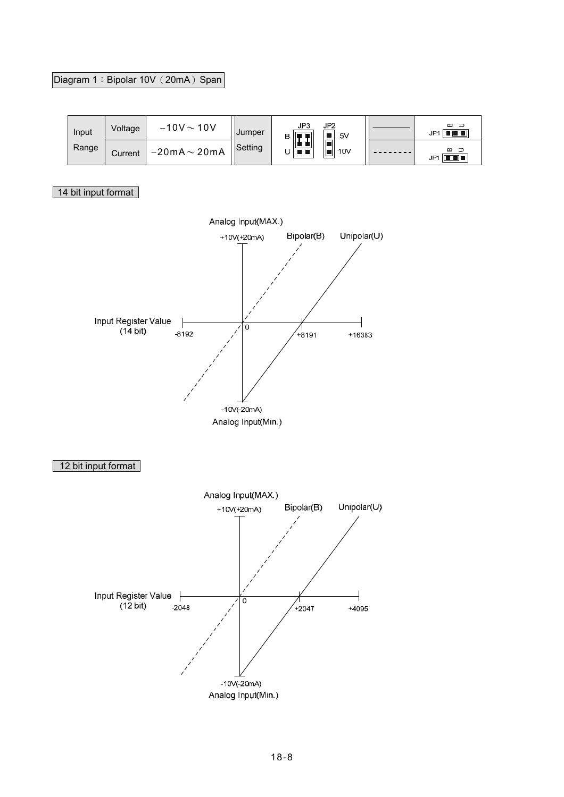# Diagram 1: Bipolar 10V (20mA) Span

| Input | Voltage | $-10V - 10V$              | Jumper  | JP2<br>5V | മ<br>8 8 8<br>JP1         |
|-------|---------|---------------------------|---------|-----------|---------------------------|
| Range | Current | $-20$ m $A \sim 20$ m $A$ | Setting | 10V<br>I۳ | മ =<br><b>FE</b> •<br>JP1 |

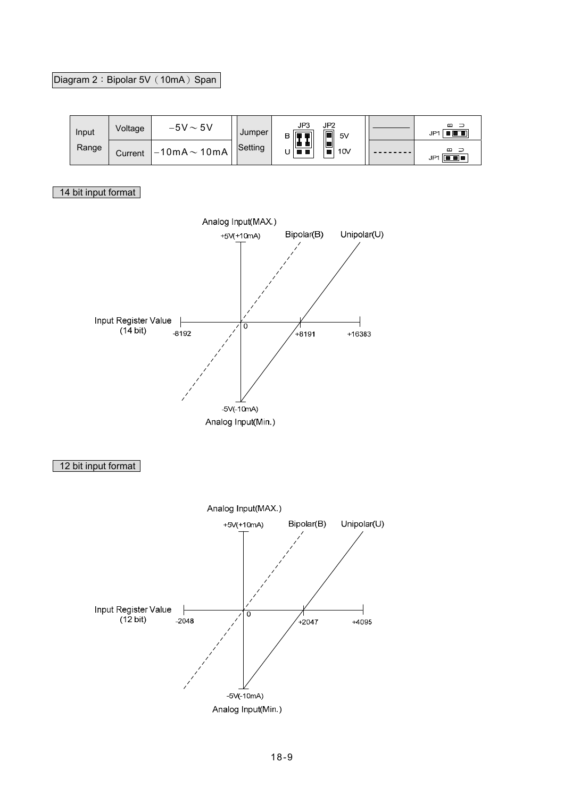# Diagram 2: Bipolar 5V (10mA) Span

| Input | Voltage | $-5V \sim 5V$                | Jumper  | JP3<br>JP2<br>n<br>5V<br>B IIT | മ<br>$\blacksquare$ $\blacksquare$ $\blacksquare$<br>JP' |
|-------|---------|------------------------------|---------|--------------------------------|----------------------------------------------------------|
| Range | Current | $1 - 10$ m $A \sim 10$ m $A$ | Setting | ب<br>10V<br>' I I              | മാ<br><b>FE</b> •<br>JP <sub>1</sub>                     |

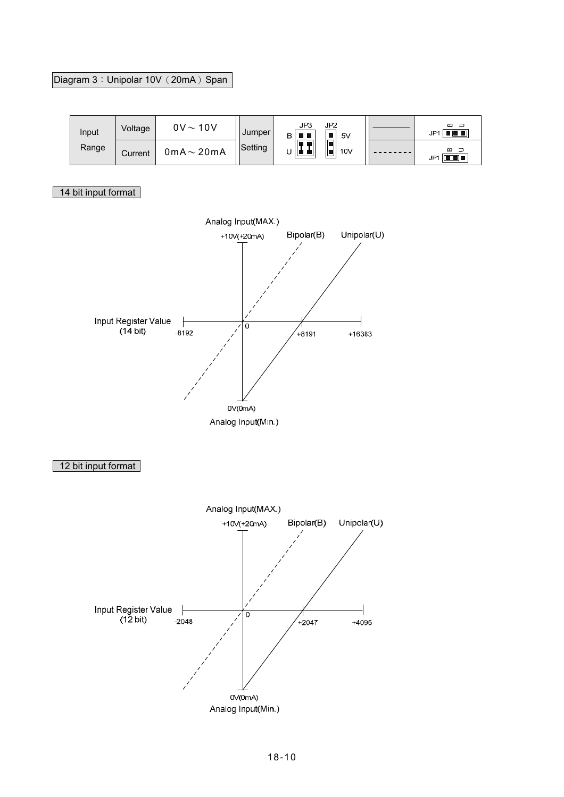# Diagram 3: Unipolar 10V (20mA) Span

| Input | Voltage | $0V \sim 10V$           | Jumper  | JP3<br>JP2<br>5V<br>в | മാ<br>$\blacksquare$ $\blacksquare$ $\blacksquare$<br>JP <sup>1</sup> |
|-------|---------|-------------------------|---------|-----------------------|-----------------------------------------------------------------------|
| Range | Current | $0$ m $A \sim 20$ m $A$ | Setting | ۱F<br>Ш<br>10V<br>ه ا | മാ<br>$\Box$ .<br>JP1                                                 |

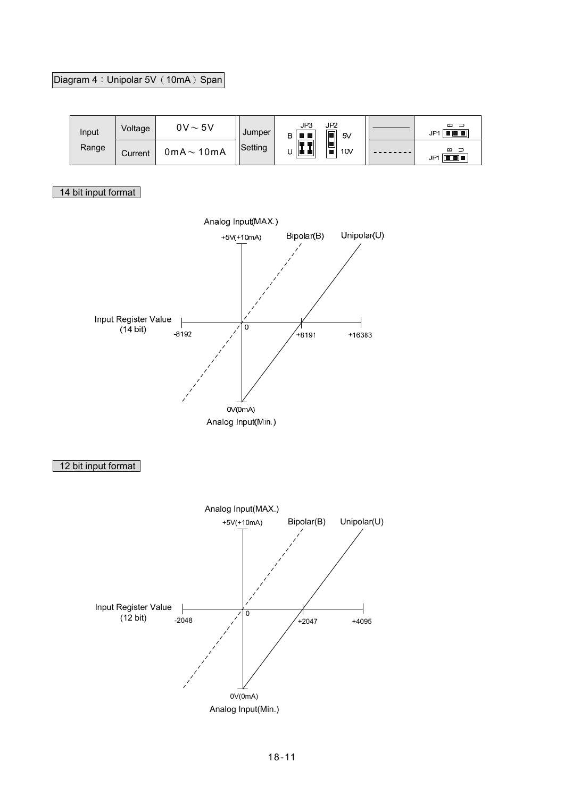# Diagram 4: Unipolar 5V (10mA) Span

| Input | Voltage | $0V \sim 5V$            | Jumper  | JP3<br>JP2<br>$\Box$<br>5V<br>в |  | മ<br>- 3<br>80 C C<br>JP <sub>1</sub> |
|-------|---------|-------------------------|---------|---------------------------------|--|---------------------------------------|
| Range | Current | $0$ m $A \sim 10$ m $A$ | Setting | U<br>la al<br>10V               |  | മാ<br>$\Box$ .<br>JP <sub>1</sub>     |

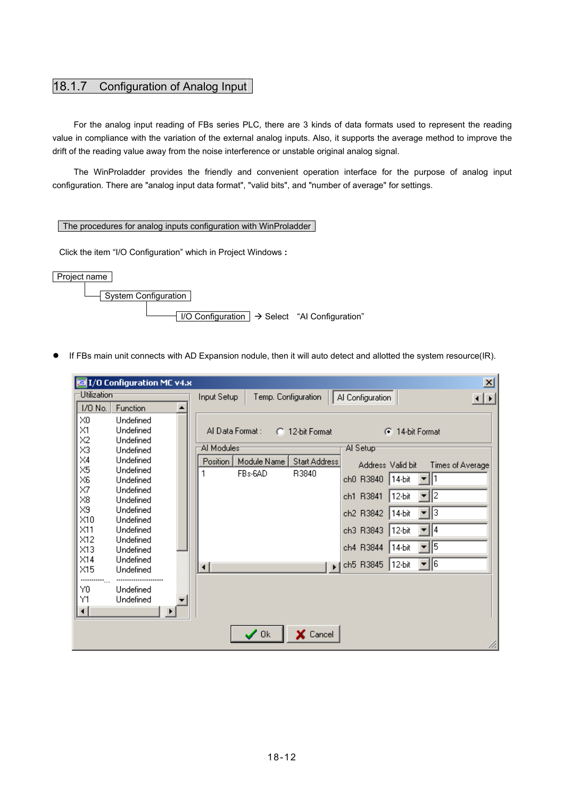# 18.1.7 Configuration of Analog Input

 For the analog input reading of FBs series PLC, there are 3 kinds of data formats used to represent the reading value in compliance with the variation of the external analog inputs. Also, it supports the average method to improve the drift of the reading value away from the noise interference or unstable original analog signal.

 The WinProladder provides the friendly and convenient operation interface for the purpose of analog input configuration. There are "analog input data format", "valid bits", and "number of average" for settings.

### The procedures for analog inputs configuration with WinProladder

Click the item "I/O Configuration" which in Project Windows **:** 



● If FBs main unit connects with AD Expansion nodule, then it will auto detect and allotted the system resource(IR).

|                            | <b>Kat I/O Configuration MC v4.x</b> |                                                                                          | 즤            |
|----------------------------|--------------------------------------|------------------------------------------------------------------------------------------|--------------|
| Utilization                |                                      | Temp. Configuration<br>Al Configuration<br>Input Setup                                   | $\leftarrow$ |
| 1/0 No.                    | Function                             |                                                                                          |              |
| XO                         | Undefined                            |                                                                                          |              |
| $\times1$                  | Undefined                            | Al Data Format:<br><b>C</b> 14-bit Format<br>C 12-bit Format                             |              |
| X <sub>2</sub>             | Undefined                            | Al Modules <sup>-</sup><br>∵Al Setup                                                     |              |
| X3<br>$\times4$            | Undefined<br>Undefined               |                                                                                          |              |
| $\times 5$                 | Undefined                            | Position<br>Module Name<br><b>Start Address</b><br>Address Valid bit<br>Times of Average |              |
| X6                         | Undefined                            | FBs-6AD<br>R3840<br>▼Ⅲ<br>ch0 R3840<br>14-bit                                            |              |
| X7                         | Undefined                            |                                                                                          |              |
| $\times 8$                 | Undefined                            | ▼∥2<br>12-bit<br>ch1 R3841                                                               |              |
| X9                         | Undefined                            | ▼∥3<br>ch2 R3842<br>14-bit                                                               |              |
| $\times 10$<br>$\times$ 11 | Undefined<br>Undefined               | ch3 R3843<br>$12-bit$<br>$\mathbf{v}$   4                                                |              |
| $\times$ 12                | Undefined                            |                                                                                          |              |
| X13                        | Undefined                            | 115<br>ch4 R3844<br>14-bit                                                               |              |
| $\times$ 14                | Undefined                            | ▼∥6<br>ch5 R3845<br>12-bit                                                               |              |
| $\times$ 15                | Undefined                            | $\mathbf{F}$<br>⊣                                                                        |              |
|                            |                                      |                                                                                          |              |
| Y0<br>Υ1                   | Undefined<br>Undefined               |                                                                                          |              |
| ⊣∣                         | ▸                                    |                                                                                          |              |
|                            |                                      |                                                                                          |              |
|                            |                                      | $\sqrt{a}$<br>X Cancel                                                                   |              |
|                            |                                      |                                                                                          |              |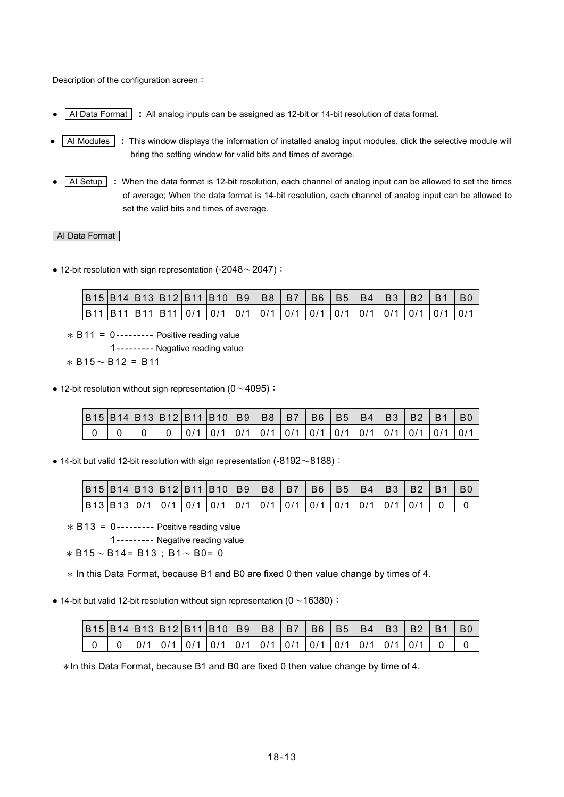Description of the configuration screen:

- AI Data Format **:** All analog inputs can be assigned as 12-bit or 14-bit resolution of data format.
- AI Modules **:** This window displays the information of installed analog input modules, click the selective module will bring the setting window for valid bits and times of average.
- AI Setup **:** When the data format is 12-bit resolution, each channel of analog input can be allowed to set the times of average; When the data format is 14-bit resolution, each channel of analog input can be allowed to set the valid bits and times of average.

### AI Data Format

 $\bullet$  12-bit resolution with sign representation (-2048 $\sim$ 2047):

| B15 B14 B13 B12 B11 B10 B9 B8 B7 B6 B5 B4 B3 B2 B1 B0                                      |  |  |  |  |  |  |  |  |
|--------------------------------------------------------------------------------------------|--|--|--|--|--|--|--|--|
| B11  B11  B11  B11   0/1   0/1   0/1   0/1   0/1   0/1   0/1   0/1   0/1   0/1   0/1   0/1 |  |  |  |  |  |  |  |  |

 $*$  B11 = 0--------- Positive reading value

1--------- Negative reading value

 $*$  B<sub>15</sub> $\sim$  B<sub>12</sub> = B<sub>11</sub>

• 12-bit resolution without sign representation  $(0 \sim 4095)$ :

| B15  B14  B13  B12  B11  B10   B9   B8   B7   B6   B5   B4   B3   B2   B1 |  |  |                                                                             |  |  |  |  | - RO |
|---------------------------------------------------------------------------|--|--|-----------------------------------------------------------------------------|--|--|--|--|------|
|                                                                           |  |  | 0/1   0/1   0/1   0/1   0/1   0/1   0/1   0/1   0/1   0/1   0/1   0/1   0/1 |  |  |  |  |      |

 $\bullet$  14-bit but valid 12-bit resolution with sign representation (-8192 $\sim$ 8188):

| B15  B14  B13  B12  B11  B10   B9   B8   B7   B6   B5   B4   B3   B2   B1   B0 |  |  |  |  |  |  |  |  |
|--------------------------------------------------------------------------------|--|--|--|--|--|--|--|--|
|                                                                                |  |  |  |  |  |  |  |  |

 $* B13 = 0$ --------- Positive reading value

1--------- Negative reading value

 $* B15 \sim B14 = B13$ ; B1  $\sim$  B0 = 0

\* In this Data Format, because B1 and B0 are fixed 0 then value change by times of 4.

• 14-bit but valid 12-bit resolution without sign representation ( $0 \sim 16380$ ):

| B15  B14  B13  B12  B11  B10   B9   B8   B7   B6   B5   B4   B3   B2   B1   B0 |  |  |  |  |  |                                                                               |  |  |
|--------------------------------------------------------------------------------|--|--|--|--|--|-------------------------------------------------------------------------------|--|--|
|                                                                                |  |  |  |  |  | 0   0/1   0/1   0/1   0/1   0/1   0/1   0/1   0/1   0/1   0/1   0/1   0/1   0 |  |  |

 $*$ In this Data Format, because B1 and B0 are fixed 0 then value change by time of 4.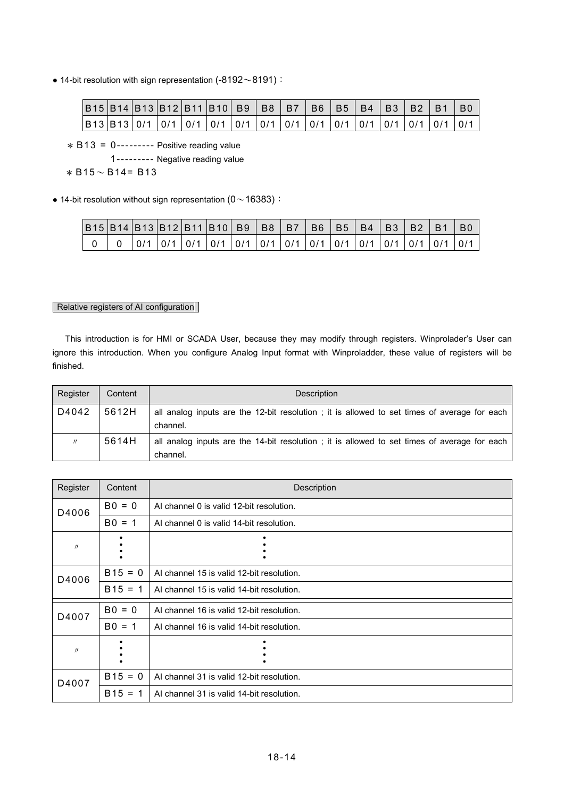$\bullet$  14-bit resolution with sign representation (-8192 $\sim$ 8191):

| B15 B14 B13 B12 B11 B10  B9   B8   B7   B6   B5   B4   B3   B2   B1   B0 |  |  |  |  |  |  |  |  |
|--------------------------------------------------------------------------|--|--|--|--|--|--|--|--|
|                                                                          |  |  |  |  |  |  |  |  |

 $* B13 = 0$ --------- Positive reading value

1--------- Negative reading value

```
* B15 \sim B14 = B13
```
• 14-bit resolution without sign representation (0 $\sim$  16383):

| B15  B14  B13  B12  B11  B10   B9   B8   B7   B6   B5   B4   B3   B2   B1   B0 |  |  |                                                                                         |  |  |  |  |  |
|--------------------------------------------------------------------------------|--|--|-----------------------------------------------------------------------------------------|--|--|--|--|--|
|                                                                                |  |  | $0$   0/1   0/1   0/1   0/1   0/1   0/1   0/1   0/1   0/1   0/1   0/1   0/1   0/1   0/1 |  |  |  |  |  |

### Relative registers of AI configuration

 This introduction is for HMI or SCADA User, because they may modify through registers. Winprolader's User can ignore this introduction. When you configure Analog Input format with Winproladder, these value of registers will be finished.

| Register          | Content | Description                                                                                             |
|-------------------|---------|---------------------------------------------------------------------------------------------------------|
| D4042             | 5612H   | all analog inputs are the 12-bit resolution; it is allowed to set times of average for each<br>channel. |
| $^{\prime\prime}$ | 5614H   | all analog inputs are the 14-bit resolution; it is allowed to set times of average for each<br>channel. |

| Register          | Content   | Description                               |
|-------------------|-----------|-------------------------------------------|
| D4006             | $BO = 0$  | AI channel 0 is valid 12-bit resolution.  |
|                   | $B0 = 1$  | AI channel 0 is valid 14-bit resolution.  |
| $^{\prime\prime}$ |           |                                           |
| D4006             | $B15 = 0$ | AI channel 15 is valid 12-bit resolution. |
|                   | $B15 = 1$ | Al channel 15 is valid 14-bit resolution. |
| D4007             | $BO = 0$  | AI channel 16 is valid 12-bit resolution. |
|                   | $B0 = 1$  | AI channel 16 is valid 14-bit resolution. |
| $^{\prime\prime}$ |           |                                           |
| D4007             | $B15 = 0$ | AI channel 31 is valid 12-bit resolution. |
|                   | $B15 = 1$ | AI channel 31 is valid 14-bit resolution. |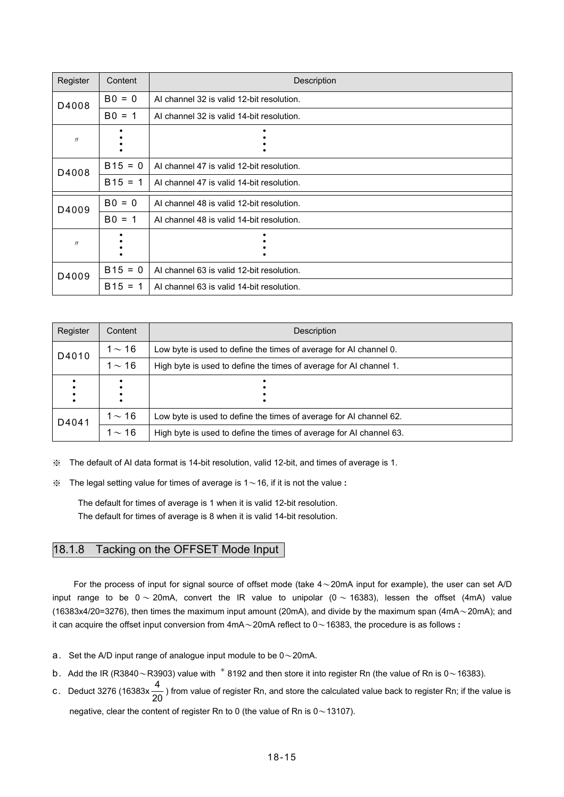| Register | Content   | Description                               |
|----------|-----------|-------------------------------------------|
| D4008    | $BO = 0$  | AI channel 32 is valid 12-bit resolution. |
|          | $B0 = 1$  | AI channel 32 is valid 14-bit resolution. |
| $\prime$ |           |                                           |
| D4008    | $B15 = 0$ | AI channel 47 is valid 12-bit resolution. |
|          | $B15 = 1$ | AI channel 47 is valid 14-bit resolution. |
| D4009    | $BO = 0$  | AI channel 48 is valid 12-bit resolution. |
|          | $B0 = 1$  | AI channel 48 is valid 14-bit resolution. |
| $\prime$ |           |                                           |
| D4009    | $B15 = 0$ | AI channel 63 is valid 12-bit resolution. |
|          | $B15 = 1$ | AI channel 63 is valid 14-bit resolution. |

| Register | Content     | Description                                                         |
|----------|-------------|---------------------------------------------------------------------|
| D4010    | $1\sim16$   | Low byte is used to define the times of average for AI channel 0.   |
|          | $1 \sim 16$ | High byte is used to define the times of average for AI channel 1.  |
|          |             |                                                                     |
| D4041    | 1 $\sim$ 16 | Low byte is used to define the times of average for AI channel 62.  |
|          | $1 \sim 16$ | High byte is used to define the times of average for AI channel 63. |

※ The default of AI data format is 14-bit resolution, valid 12-bit, and times of average is 1.

※ The legal setting value for times of average is 1~16, if it is not the value **:**

 The default for times of average is 1 when it is valid 12-bit resolution. The default for times of average is 8 when it is valid 14-bit resolution.

# 18.1.8 Tacking on the OFFSET Mode Input

For the process of input for signal source of offset mode (take  $4{\sim}20$ mA input for example), the user can set A/D input range to be  $0 \sim 20$ mA, convert the IR value to unipolar ( $0 \sim 16383$ ), lessen the offset (4mA) value (16383x4/20=3276), then times the maximum input amount (20mA), and divide by the maximum span (4mA~20mA); and it can acquire the offset input conversion from 4mA~20mA reflect to 0~16383, the procedure is as follows **:**

- a. Set the A/D input range of analogue input module to be  $0 \sim 20$  mA.
- b. Add the IR (R3840~R3903) value with  $*$  8192 and then store it into register Rn (the value of Rn is 0~16383).
- c. Deduct 3276 (16383x $\frac{4}{20}$ ) from value of register Rn, and store the calculated value back to register Rn; if the value is negative, clear the content of register Rn to 0 (the value of Rn is  $0 \sim 13107$ ).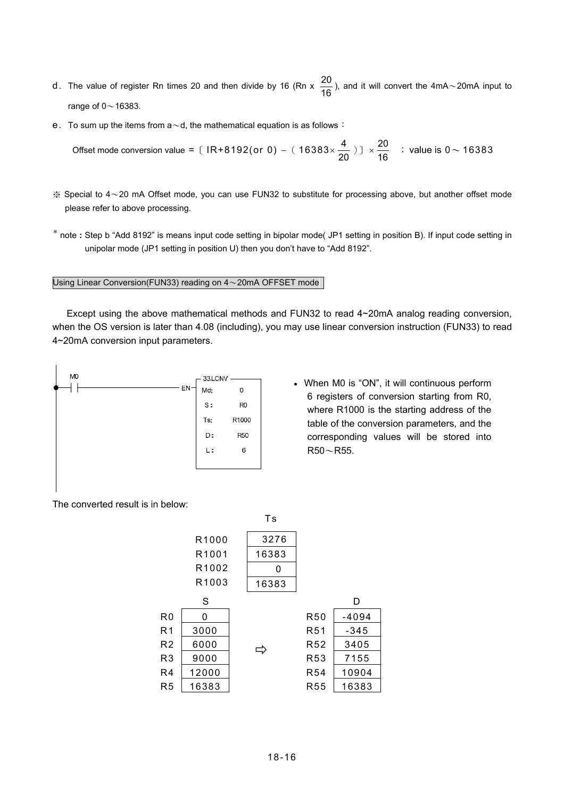- d. The value of register Rn times 20 and then divide by 16 (Rn x  $\frac{20}{16}$ ), and it will convert the 4mA~20mA input to range of  $0 \sim 16383$ .
- e. To sum up the items from  $a \sim d$ , the mathematical equation is as follows:

\n 76383\n \n 0\n 
$$
\times \frac{20}{16}
$$
\n \n 0\n  $\times \frac{20}{16}$ \n \n 16383\n \n 20

\n \n 16383\n \n 16383\n \n 20

\n \n 16383\n \n 20

\n \n 16383\n \n 20

\n \n 16383\n \n 20

\n \n 20

\n \n 20

\n \n 21

\n \n 22

\n \n 23

\n \n 24

\n \n 25

\n \n 26

\n \n 27

\n \n 28

\n \n 29

\n \n 20

\n \n 21

\n \n 22

\n \n 23

\n \n 24

\n \n 25

\n \n 26

\n \n 27

\n \n 28

\n \n 29

\n \n 29

\n \n 20

\n \n 21

\n \n 22

\n \n 23

\n \n 24

\n \n 25

\n \n 26

\n \n 27

\n \n 28

\n \n 29

\n \n 29

\n \n 20

\n \n 21

\n \n 22

\n \n 23

\n \n 24

\n \n 25

\n \n 26

\n \n 27

\n \n 28

\n \n 29

\n

- $\%$  Special to 4~20 mA Offset mode, you can use FUN32 to substitute for processing above, but another offset mode please refer to above processing.
- \* note **:** Step b "Add 8192" is means input code setting in bipolar mode( JP1 setting in position B). If input code setting in unipolar mode (JP1 setting in position U) then you don't have to "Add 8192".

### Using Linear Conversion(FUN33) reading on 4~20mA OFFSET mode

 Except using the above mathematical methods and FUN32 to read 4~20mA analog reading conversion, when the OS version is later than 4.08 (including), you may use linear conversion instruction (FUN33) to read 4~20mA conversion input parameters.



• When M0 is "ON", it will continuous perform 6 registers of conversion starting from R0, where R1000 is the starting address of the table of the conversion parameters, and the corresponding values will be stored into  $R50 - R55$ .

#### The converted result is in below:

|                |       | Τs    |                 |         |
|----------------|-------|-------|-----------------|---------|
|                | R1000 | 3276  |                 |         |
|                | R1001 | 16383 |                 |         |
|                | R1002 | 0     |                 |         |
|                | R1003 | 16383 |                 |         |
|                | S     |       |                 | D       |
| R <sub>0</sub> | 0     |       | <b>R50</b>      | $-4094$ |
| R <sub>1</sub> | 3000  |       | R <sub>51</sub> | $-345$  |
| R <sub>2</sub> | 6000  |       | R <sub>52</sub> | 3405    |
| R <sub>3</sub> | 9000  |       | R <sub>53</sub> | 7155    |
| R4             | 12000 |       | <b>R54</b>      | 10904   |
| R <sub>5</sub> | 16383 |       | <b>R55</b>      | 16383   |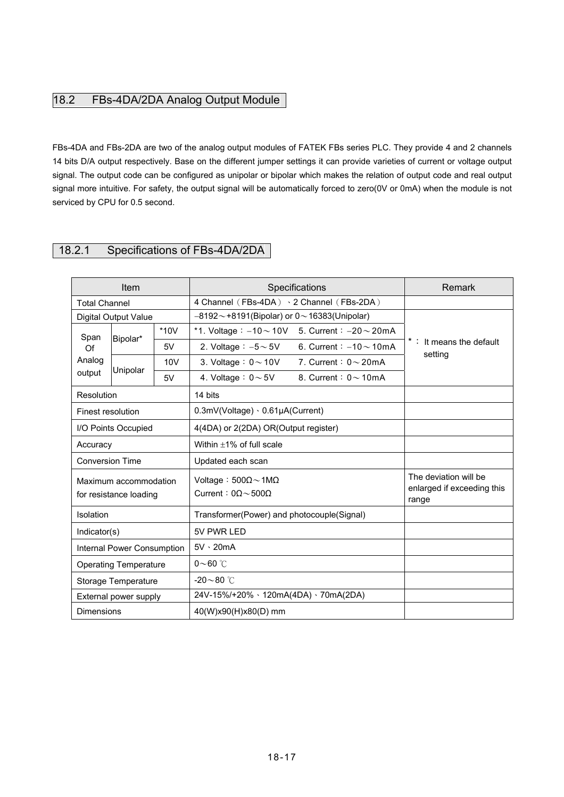# 18.2 FBs-4DA/2DA Analog Output Module

FBs-4DA and FBs-2DA are two of the analog output modules of FATEK FBs series PLC. They provide 4 and 2 channels 14 bits D/A output respectively. Base on the different jumper settings it can provide varieties of current or voltage output signal. The output code can be configured as unipolar or bipolar which makes the relation of output code and real output signal more intuitive. For safety, the output signal will be automatically forced to zero(0V or 0mA) when the module is not serviced by CPU for 0.5 second.

# 18.2.1 Specifications of FBs-4DA/2DA

|                                                 | <b>Item</b>                 |        | Specifications                                                                  |                                                              | Remark                             |
|-------------------------------------------------|-----------------------------|--------|---------------------------------------------------------------------------------|--------------------------------------------------------------|------------------------------------|
| <b>Total Channel</b>                            |                             |        | 4 Channel (FBs-4DA) · 2 Channel (FBs-2DA)                                       |                                                              |                                    |
|                                                 | <b>Digital Output Value</b> |        | $-8192 - +8191$ (Bipolar) or 0 ~ 16383(Unipolar)                                |                                                              |                                    |
| Span                                            | Bipolar*                    | $*10V$ | *1. Voltage: $-10 \sim 10V$ 5. Current: $-20 \sim 20mA$                         |                                                              |                                    |
| Of                                              |                             | 5V     | 2. Voltage : $-5 \sim 5$ V                                                      | 6. Current : $-10 \sim 10$ mA                                | *: It means the default<br>setting |
| Analog                                          | Unipolar                    | 10V    | 3. Voltage: $0 \sim 10V$                                                        | 7. Current: $0 \sim 20 \text{mA}$                            |                                    |
| output                                          |                             | 5V     | 4. Voltage: $0 \sim 5V$                                                         | 8. Current: $0 \sim 10 \text{mA}$                            |                                    |
| Resolution                                      |                             |        | 14 bits                                                                         |                                                              |                                    |
| Finest resolution                               |                             |        | $0.3$ mV(Voltage) $\cdot$ 0.61µA(Current)                                       |                                                              |                                    |
| I/O Points Occupied                             |                             |        | 4(4DA) or 2(2DA) OR(Output register)                                            |                                                              |                                    |
| Accuracy                                        |                             |        | Within $\pm 1\%$ of full scale                                                  |                                                              |                                    |
| <b>Conversion Time</b>                          |                             |        | Updated each scan                                                               |                                                              |                                    |
| Maximum accommodation<br>for resistance loading |                             |        | Voltage: $500\Omega \sim 1 \text{M}\Omega$<br>Current: $0\Omega \sim 500\Omega$ | The deviation will be<br>enlarged if exceeding this<br>range |                                    |
| Isolation                                       |                             |        | Transformer(Power) and photocouple(Signal)                                      |                                                              |                                    |
| Indicator(s)                                    |                             |        | 5V PWR LED                                                                      |                                                              |                                    |
| Internal Power Consumption                      |                             |        | $5V \cdot 20mA$                                                                 |                                                              |                                    |
| <b>Operating Temperature</b>                    |                             |        | $0\nthicksim 60$ °C                                                             |                                                              |                                    |
| Storage Temperature                             |                             |        | $-20\sim80$ °C                                                                  |                                                              |                                    |
| External power supply                           |                             |        | 24V-15%/+20% · 120mA(4DA) · 70mA(2DA)                                           |                                                              |                                    |
| <b>Dimensions</b>                               |                             |        | 40(W)x90(H)x80(D) mm                                                            |                                                              |                                    |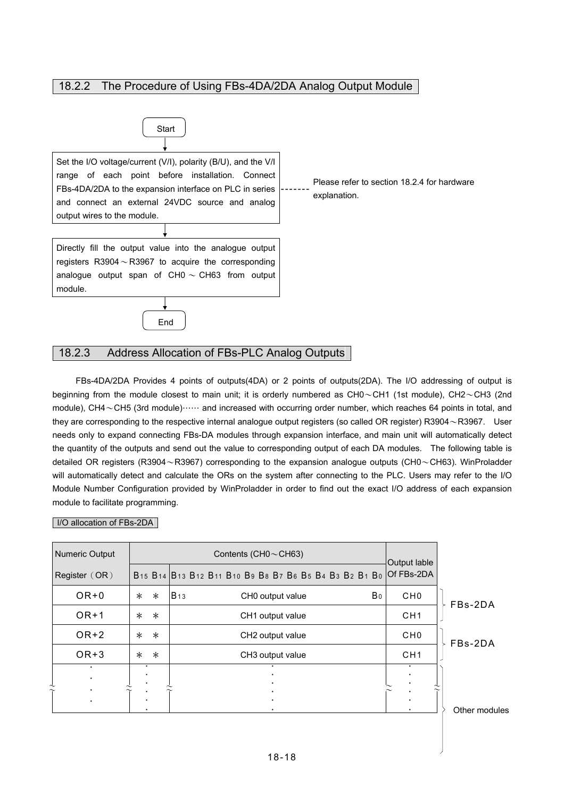## 18.2.2 The Procedure of Using FBs-4DA/2DA Analog Output Module



## 18.2.3 Address Allocation of FBs-PLC Analog Outputs

FBs-4DA/2DA Provides 4 points of outputs(4DA) or 2 points of outputs(2DA). The I/O addressing of output is beginning from the module closest to main unit; it is orderly numbered as  $CH0\sim CH1$  (1st module),  $CH2\sim CH3$  (2nd module), CH4~CH5 (3rd module)…… and increased with occurring order number, which reaches 64 points in total, and they are corresponding to the respective internal analogue output registers (so called OR register) R3904~R3967. User needs only to expand connecting FBs-DA modules through expansion interface, and main unit will automatically detect the quantity of the outputs and send out the value to corresponding output of each DA modules. The following table is detailed OR registers (R3904~R3967) corresponding to the expansion analogue outputs (CH0~CH63). WinProladder will automatically detect and calculate the ORs on the system after connecting to the PLC. Users may refer to the I/O Module Number Configuration provided by WinProladder in order to find out the exact I/O address of each expansion module to facilitate programming.

### I/O allocation of FBs-2DA

| Numeric Output         |                  | Contents (CH0 $\sim$ CH63)                                                                                                                                                                                                                            | Output lable           |               |
|------------------------|------------------|-------------------------------------------------------------------------------------------------------------------------------------------------------------------------------------------------------------------------------------------------------|------------------------|---------------|
| Register (OR)          |                  | B <sub>15</sub> B <sub>14</sub> B <sub>13</sub> B <sub>12</sub> B <sub>11</sub> B <sub>10</sub> B <sub>9</sub> B <sub>8</sub> B <sub>7</sub> B <sub>6</sub> B <sub>5</sub> B <sub>4</sub> B <sub>3</sub> B <sub>2</sub> B <sub>1</sub> B <sub>0</sub> | Of FBs-2DA             |               |
| $OR + 0$               | $\ast$<br>$\ast$ | B <sub>0</sub><br><b>B</b> <sub>13</sub><br>CHO output value                                                                                                                                                                                          | CH <sub>0</sub>        | FBs-2DA       |
| $OR+1$                 | $\ast$<br>$\ast$ | CH1 output value                                                                                                                                                                                                                                      | CH <sub>1</sub>        |               |
| $OR+2$                 | $\ast$<br>$\ast$ | CH <sub>2</sub> output value                                                                                                                                                                                                                          | CH <sub>0</sub>        | FBs-2DA       |
| $OR+3$                 | $\ast$<br>$\ast$ | CH <sub>3</sub> output value                                                                                                                                                                                                                          | CH <sub>1</sub>        |               |
| $\bullet$<br>$\bullet$ | $\bullet$        |                                                                                                                                                                                                                                                       | $\bullet$<br>$\bullet$ |               |
| $\bullet$<br>$\bullet$ |                  |                                                                                                                                                                                                                                                       | $\bullet$<br>$\bullet$ | Other modules |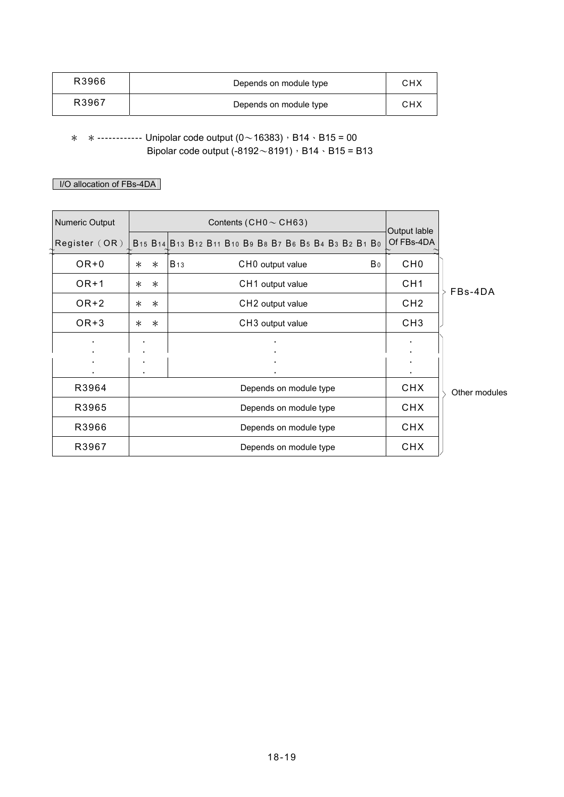| R3966 | Depends on module type | CHX |
|-------|------------------------|-----|
| R3967 | Depends on module type | снх |

 $*$  \* ------------ Unipolar code output  $(0 \sim 16383)$ , B14 · B15 = 00 Bipolar code output (-8192 $\sim$ 8191), B14  $\cdot$  B15 = B13

# I/O allocation of FBs-4DA

| Numeric Output |        | Contents (CH0 $\sim$ CH63) |                                                                                                                                                                                                                                                       |                |                            |               |
|----------------|--------|----------------------------|-------------------------------------------------------------------------------------------------------------------------------------------------------------------------------------------------------------------------------------------------------|----------------|----------------------------|---------------|
| Register (OR)  |        |                            | B <sub>15</sub> B <sub>14</sub> B <sub>13</sub> B <sub>12</sub> B <sub>11</sub> B <sub>10</sub> B <sub>9</sub> B <sub>8</sub> B <sub>7</sub> B <sub>6</sub> B <sub>5</sub> B <sub>4</sub> B <sub>3</sub> B <sub>2</sub> B <sub>1</sub> B <sub>0</sub> |                | Output lable<br>Of FBs-4DA |               |
| $OR + 0$       | $\ast$ | $\ast$                     | <b>B</b> <sub>13</sub><br>CHO output value                                                                                                                                                                                                            | B <sub>0</sub> | CH <sub>0</sub>            |               |
| $OR+1$         | $\ast$ | $\ast$                     | CH1 output value                                                                                                                                                                                                                                      |                | CH <sub>1</sub>            | FBs-4DA       |
| $OR+2$         | $\ast$ | $\ast$                     | CH <sub>2</sub> output value                                                                                                                                                                                                                          |                | CH <sub>2</sub>            |               |
| $OR+3$         | $\ast$ | $\ast$                     | CH3 output value                                                                                                                                                                                                                                      |                | CH <sub>3</sub>            |               |
|                |        |                            | $\bullet$                                                                                                                                                                                                                                             |                |                            |               |
|                |        |                            |                                                                                                                                                                                                                                                       |                |                            |               |
| R3964          |        |                            | Depends on module type                                                                                                                                                                                                                                |                | <b>CHX</b>                 | Other modules |
| R3965          |        | Depends on module type     |                                                                                                                                                                                                                                                       |                | <b>CHX</b>                 |               |
| R3966          |        | Depends on module type     |                                                                                                                                                                                                                                                       |                |                            |               |
| R3967          |        | Depends on module type     |                                                                                                                                                                                                                                                       |                |                            |               |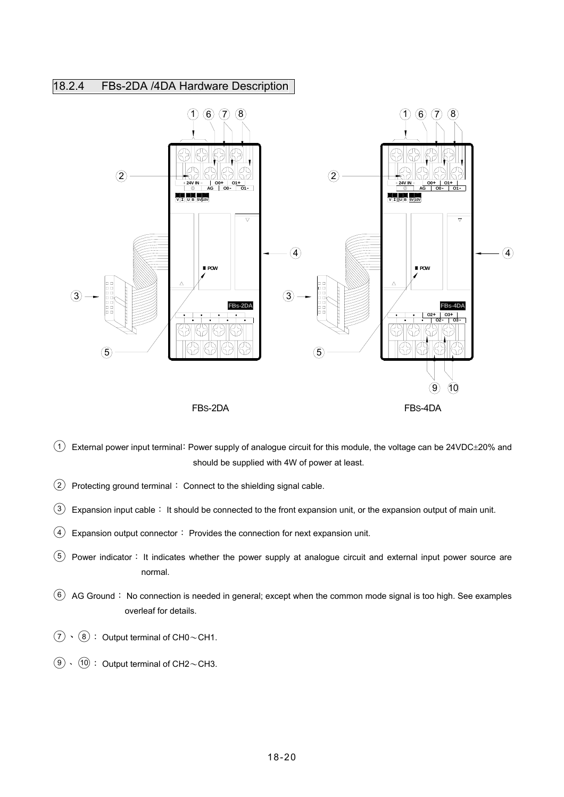# 18.2.4 FBs-2DA /4DA Hardware Description



- $(1)$  External power input terminal: Power supply of analogue circuit for this module, the voltage can be 24VDC $\pm$ 20% and should be supplied with 4W of power at least.
- $\overline{2}$  Protecting ground terminal: Connect to the shielding signal cable.
- $(3)$  Expansion input cable: It should be connected to the front expansion unit, or the expansion output of main unit.
- $\overline{(4)}$  Expansion output connector: Provides the connection for next expansion unit.
- ○<sup>5</sup> Power indicator: It indicates whether the power supply at analogue circuit and external input power source are normal.
- $\overline{6}$  AG Ground: No connection is needed in general; except when the common mode signal is too high. See examples overleaf for details.
- $\overline{2}$   $\cdot$   $\overline{8}$  : Output terminal of CH0~CH1.
- $\overline{(9)} \cdot \overline{(10)}$  : Output terminal of CH2~CH3.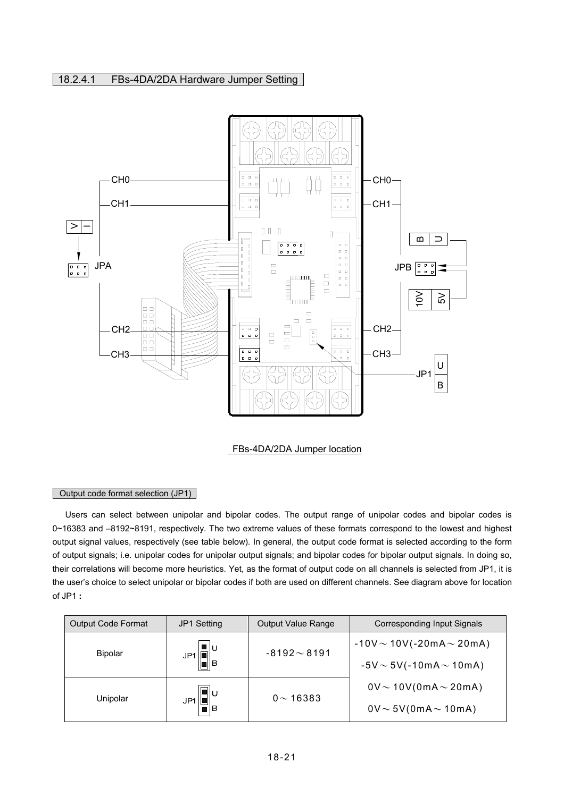## 18.2.4.1 FBs-4DA/2DA Hardware Jumper Setting



FBs-4DA/2DA Jumper location

### Output code format selection (JP1)

 Users can select between unipolar and bipolar codes. The output range of unipolar codes and bipolar codes is 0~16383 and –8192~8191, respectively. The two extreme values of these formats correspond to the lowest and highest output signal values, respectively (see table below). In general, the output code format is selected according to the form of output signals; i.e. unipolar codes for unipolar output signals; and bipolar codes for bipolar output signals. In doing so, their correlations will become more heuristics. Yet, as the format of output code on all channels is selected from JP1, it is the user's choice to select unipolar or bipolar codes if both are used on different channels. See diagram above for location of JP1 **:**

| <b>Output Code Format</b> | JP1 Setting                                                                                   | <b>Output Value Range</b> | Corresponding Input Signals      |
|---------------------------|-----------------------------------------------------------------------------------------------|---------------------------|----------------------------------|
| <b>Bipolar</b>            | ∎∣υ<br>JP1                                                                                    | $-8192 \sim 8191$         | $-10V \sim 10V(-20mA \sim 20mA)$ |
|                           | $\frac{1}{\  \cdot \ _{B}}$                                                                   |                           | $-5V \sim 5V(-10mA \sim 10mA)$   |
|                           |                                                                                               | $0 \sim 16383$            | $0V \sim 10V(0mA \sim 20mA)$     |
| Unipolar                  | $\left[\begin{matrix}\boxed{\phantom{0}}\\ \color{blue}\end{matrix}\right]_\mathsf{F}$<br>JP1 |                           | $0V \sim 5V(0mA \sim 10mA)$      |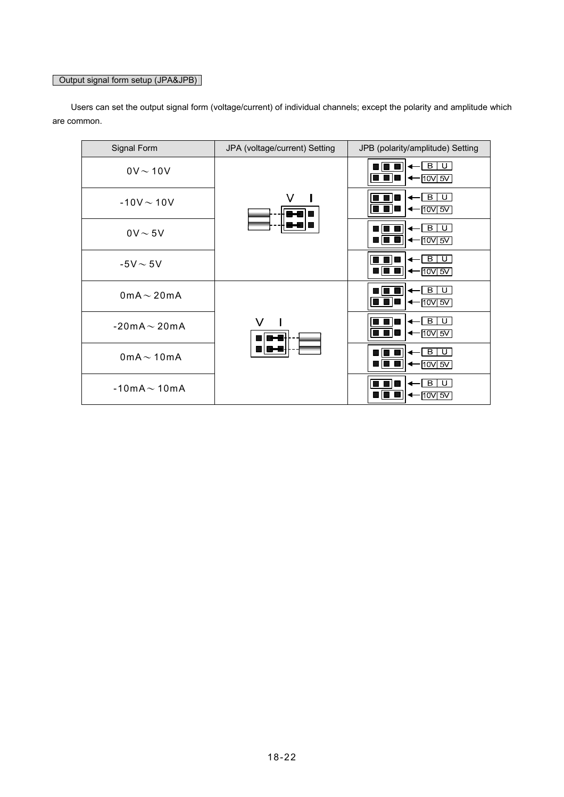# Output signal form setup (JPA&JPB)

| Signal Form             | JPA (voltage/current) Setting | JPB (polarity/amplitude) Setting                          |
|-------------------------|-------------------------------|-----------------------------------------------------------|
| $0V \sim 10V$           |                               | $\vert$ B<br>U<br>$\leftarrow$ [10V] 5V]                  |
| $-10V \sim 10V$         | V                             | В<br>U<br>$\leftarrow$ 10V 5V                             |
| $0V \sim 5V$            |                               | BIU<br>$\leftarrow$ [10V] 5V]                             |
| $-5V \sim 5V$           |                               | - B I<br>$\overline{\mathbb{Q}}$ .<br>$\leftarrow$ 10V 5V |
| 0mA $\sim$ 20mA         |                               | $\vert$ B<br>  U  <br>$\leftarrow$ 10V 5V                 |
| $-20mA \sim 20mA$       | V                             | B.<br>U<br>$\leftarrow$ 10V 5V                            |
| $0$ m $A \sim 10$ m $A$ |                               | BIU<br>←  ਰਾ ਤਾ<br>80 I<br>ш                              |
| $-10mA \sim 10mA$       |                               | $\overline{\mathbb{Q}}$ .<br>$\vert$ B<br>$10V$ 5V        |

 Users can set the output signal form (voltage/current) of individual channels; except the polarity and amplitude which are common.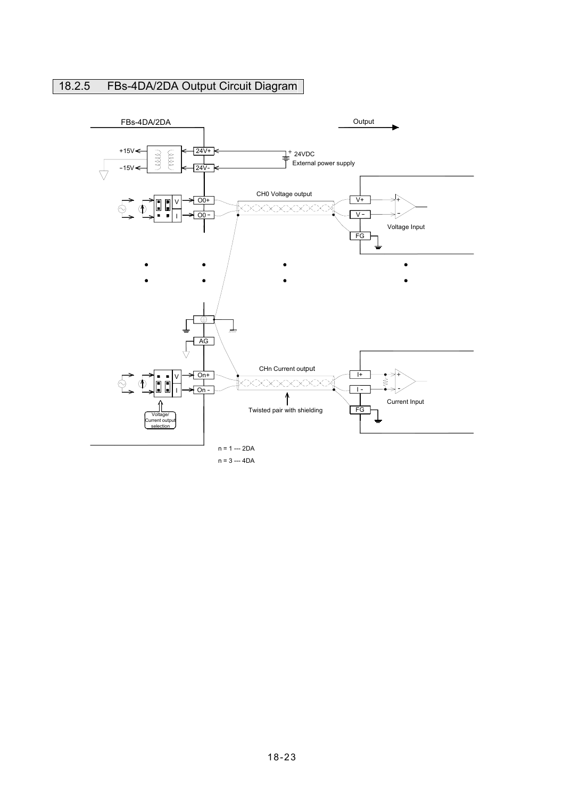# 18.2.5 FBs-4DA/2DA Output Circuit Diagram

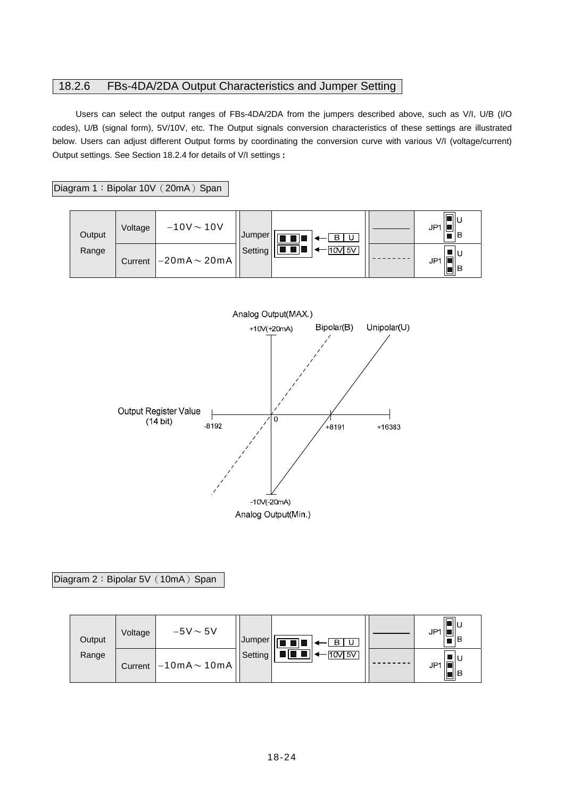## 18.2.6 FBs-4DA/2DA Output Characteristics and Jumper Setting

Users can select the output ranges of FBs-4DA/2DA from the jumpers described above, such as V/I, U/B (I/O codes), U/B (signal form), 5V/10V, etc. The Output signals conversion characteristics of these settings are illustrated below. Users can adjust different Output forms by coordinating the conversion curve with various V/I (voltage/current) Output settings. See Section 18.2.4 for details of V/I settings **:** 

Diagram 1: Bipolar 10V (20mA) Span

| Output | Voltage | $-10V \sim 10V$   | Jumper  | $\overline{\phantom{a}}$<br>$\vert$ B<br>. U . | ءاا⊏<br>JP1<br>IΒ |
|--------|---------|-------------------|---------|------------------------------------------------|-------------------|
| Range  | Current | $-20mA \sim 20mA$ | Setting | $-110V$ 5V                                     | JP′<br>ull B      |



### Diagram 2: Bipolar 5V (10mA) Span

| Output | Voltage | $-5V \sim 5V$                                    | Jumper  | $\pm$ B $\pm$<br>. U | JP1<br>IВ   |
|--------|---------|--------------------------------------------------|---------|----------------------|-------------|
| Range  | Current | $\left  -10 \text{mA} \sim 10 \text{mA} \right $ | Setting | $10V$ 5V             | JP-<br> ∎ B |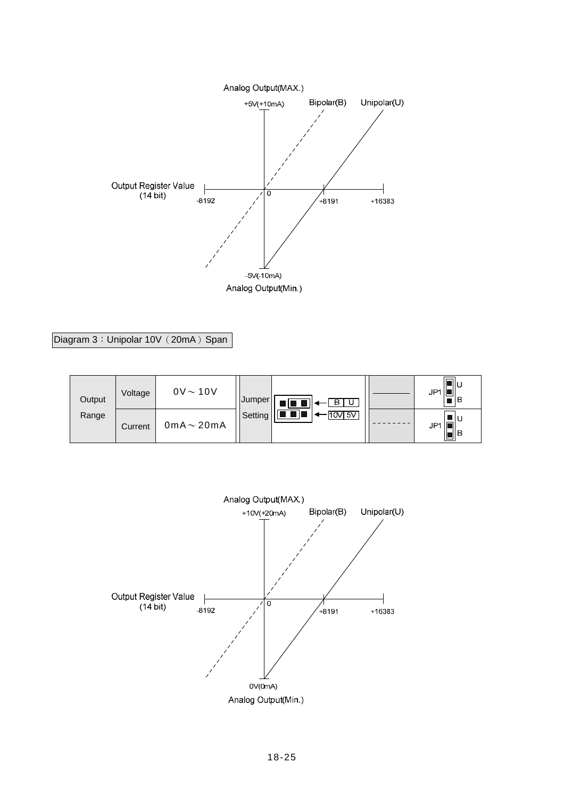

Diagram 3: Unipolar 10V (20mA) Span

| Output | Voltage | $0V \sim 10V$           | Jumper <sup>1</sup> | $\blacksquare$ $\blacksquare$ $\blacksquare$ $\blacksquare$ | JP'<br>∎IB |
|--------|---------|-------------------------|---------------------|-------------------------------------------------------------|------------|
| Range  | Current | $0$ m $A \sim 20$ m $A$ | Setting             | $\blacksquare$ $\blacksquare$<br>$10V$ 5V                   | JP*        |

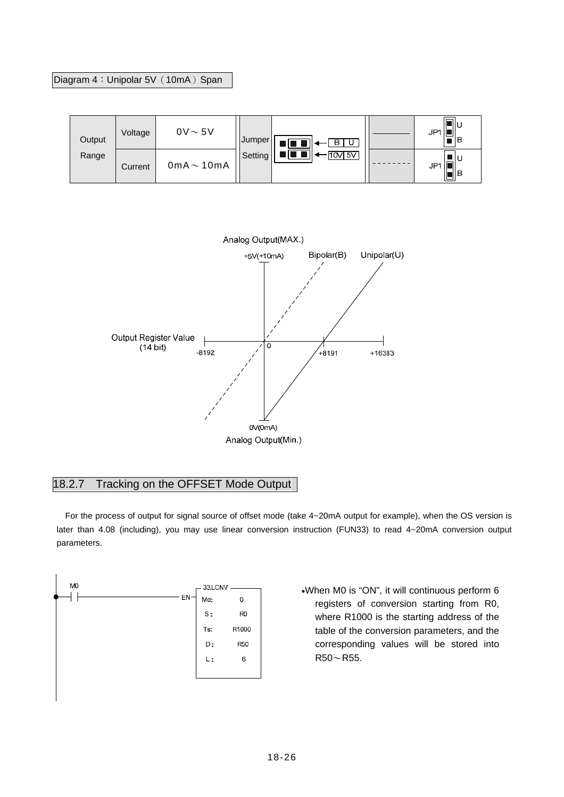## Diagram 4: Unipolar 5V (10mA) Span

| Output | Voltage | $0V \sim 5V$            | Jumper  | $\begin{picture}(150,10) \put(0,0){\line(1,0){10}} \put(15,0){\line(1,0){10}} \put(15,0){\line(1,0){10}} \put(15,0){\line(1,0){10}} \put(15,0){\line(1,0){10}} \put(15,0){\line(1,0){10}} \put(15,0){\line(1,0){10}} \put(15,0){\line(1,0){10}} \put(15,0){\line(1,0){10}} \put(15,0){\line(1,0){10}} \put(15,0){\line(1,0){10}} \put(15,0){\line($ | JP1<br>ılВ   |
|--------|---------|-------------------------|---------|-----------------------------------------------------------------------------------------------------------------------------------------------------------------------------------------------------------------------------------------------------------------------------------------------------------------------------------------------------|--------------|
| Range  | Current | $0$ m $A \sim 10$ m $A$ | Setting | $\frac{1}{2}$ , and $\frac{1}{2}$ and $\frac{1}{2}$<br>$\cdot$ [10V] 5V]                                                                                                                                                                                                                                                                            | JP1<br>,∎  B |



# 18.2.7 Tracking on the OFFSET Mode Output

 For the process of output for signal source of offset mode (take 4~20mA output for example), when the OS version is later than 4.08 (including), you may use linear conversion instruction (FUN33) to read 4~20mA conversion output parameters.



•When M0 is "ON", it will continuous perform 6 registers of conversion starting from R0, where R1000 is the starting address of the table of the conversion parameters, and the corresponding values will be stored into  $R50 - R55$ .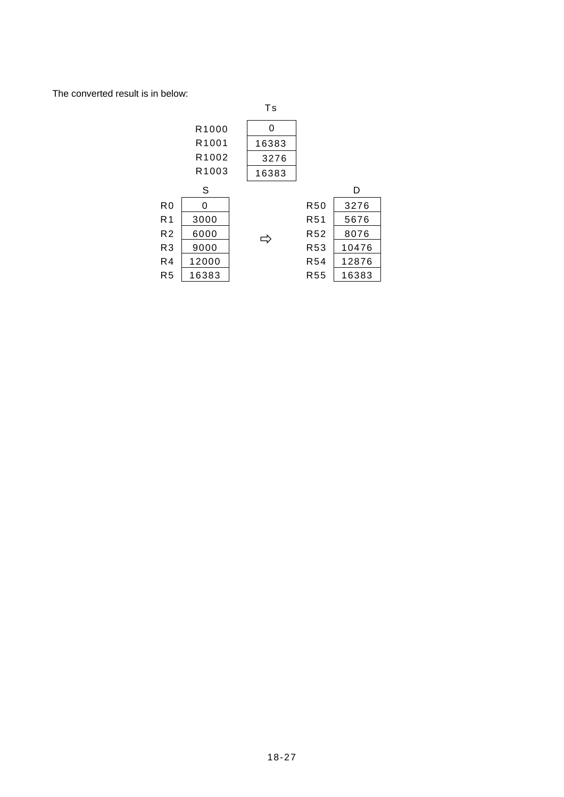The converted result is in below:

|                |       | Ts    |                 |       |
|----------------|-------|-------|-----------------|-------|
|                | R1000 | 0     |                 |       |
|                | R1001 | 16383 |                 |       |
|                | R1002 | 3276  |                 |       |
|                | R1003 | 16383 |                 |       |
|                | S     |       |                 | D     |
| R <sub>0</sub> | 0     |       | <b>R50</b>      | 3276  |
| R <sub>1</sub> | 3000  |       | R51             | 5676  |
| R <sub>2</sub> | 6000  |       | R <sub>52</sub> | 8076  |
| R <sub>3</sub> | 9000  |       | <b>R53</b>      | 10476 |
| R4             | 12000 |       | R <sub>54</sub> | 12876 |
| R <sub>5</sub> | 16383 |       | <b>R55</b>      | 16383 |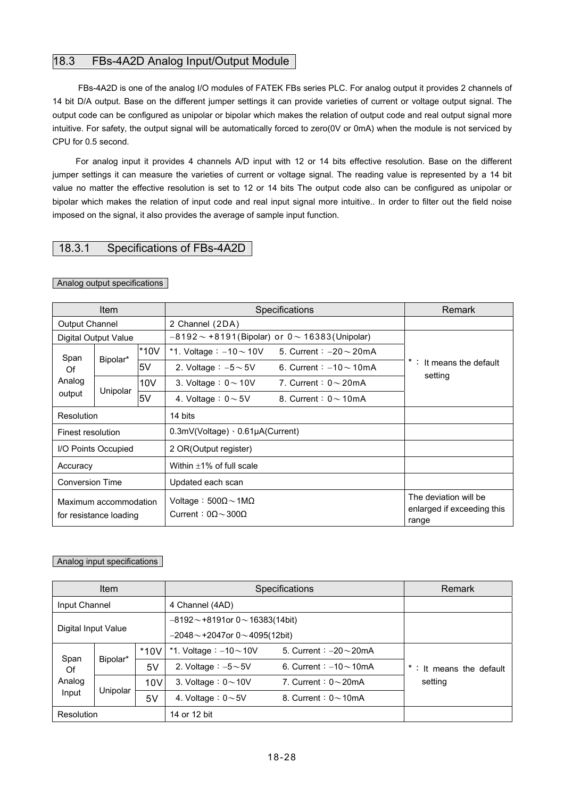## 18.3 FBs-4A2D Analog Input/Output Module

FBs-4A2D is one of the analog I/O modules of FATEK FBs series PLC. For analog output it provides 2 channels of 14 bit D/A output. Base on the different jumper settings it can provide varieties of current or voltage output signal. The output code can be configured as unipolar or bipolar which makes the relation of output code and real output signal more intuitive. For safety, the output signal will be automatically forced to zero(0V or 0mA) when the module is not serviced by CPU for 0.5 second.

For analog input it provides 4 channels A/D input with 12 or 14 bits effective resolution. Base on the different jumper settings it can measure the varieties of current or voltage signal. The reading value is represented by a 14 bit value no matter the effective resolution is set to 12 or 14 bits The output code also can be configured as unipolar or bipolar which makes the relation of input code and real input signal more intuitive.. In order to filter out the field noise imposed on the signal, it also provides the average of sample input function.

## 18.3.1 Specifications of FBs-4A2D

| Item                                            |                      |        | Specifications                                                                  | Remark                              |                                                              |
|-------------------------------------------------|----------------------|--------|---------------------------------------------------------------------------------|-------------------------------------|--------------------------------------------------------------|
| Output Channel                                  |                      |        | 2 Channel (2DA)                                                                 |                                     |                                                              |
|                                                 | Digital Output Value |        | $-8192 \sim +8191$ (Bipolar) or $0 \sim 16383$ (Unipolar)                       |                                     |                                                              |
| Span                                            |                      | $*10V$ | *1. Voltage: $-10 \sim 10V$                                                     | 5. Current: $-20 \sim 20 \text{mA}$ |                                                              |
| Of                                              | Bipolar*             | 5V     | 2. Voltage : $-5 \sim 5V$                                                       | 6. Current : $-10 \sim 10$ mA       | *: It means the default                                      |
| Analog                                          |                      | 10V    | 3. Voltage: $0 \sim 10V$                                                        | 7. Current: $0 \sim 20$ mA          | setting                                                      |
| output                                          | Unipolar             | 5V     | 4. Voltage : $0 \sim 5V$                                                        | 8. Current: $0 \sim 10 \text{mA}$   |                                                              |
| Resolution                                      |                      |        | 14 bits                                                                         |                                     |                                                              |
| Finest resolution                               |                      |        | $0.3$ mV(Voltage) $\cdot$ 0.61 $\mu$ A(Current)                                 |                                     |                                                              |
|                                                 | I/O Points Occupied  |        | 2 OR(Output register)                                                           |                                     |                                                              |
| Accuracy                                        |                      |        | Within $\pm 1\%$ of full scale                                                  |                                     |                                                              |
| <b>Conversion Time</b>                          |                      |        | Updated each scan                                                               |                                     |                                                              |
| Maximum accommodation<br>for resistance loading |                      |        | Voltage: $500\Omega \sim 1 \text{M}\Omega$<br>Current: $0\Omega \sim 300\Omega$ |                                     | The deviation will be<br>enlarged if exceeding this<br>range |

### Analog output specifications

### Analog input specifications

| <b>Item</b>                   |          |        | Specifications                               | Remark                       |                          |
|-------------------------------|----------|--------|----------------------------------------------|------------------------------|--------------------------|
| Input Channel                 |          |        | 4 Channel (4AD)                              |                              |                          |
| Digital Input Value           |          |        | $-8192 \sim +8191$ or $0 \sim 16383(14$ bit) |                              |                          |
|                               |          |        | $-2048 \sim$ +2047or 0 $\sim$ 4095(12bit)    |                              |                          |
|                               |          | $*10V$ | *1. Voltage $: -10 \sim 10V$                 | 5. Current: $-20\sim 20$ mA  |                          |
| Span<br>Of<br>Analog<br>Input | Bipolar* | 5V     | 2. Voltage $: -5{\sim}5V$                    | 6. Current: $-10 \sim 10$ mA | * : It means the default |
|                               |          | 10V    | 3. Voltage : $0 \sim 10V$                    | 7. Current: $0\sim$ 20mA     | setting                  |
|                               | Unipolar | 5V     | 4. Voltage : $0 \sim 5V$                     | 8. Current: $0 \sim 10$ mA   |                          |
| Resolution                    |          |        | 14 or 12 bit                                 |                              |                          |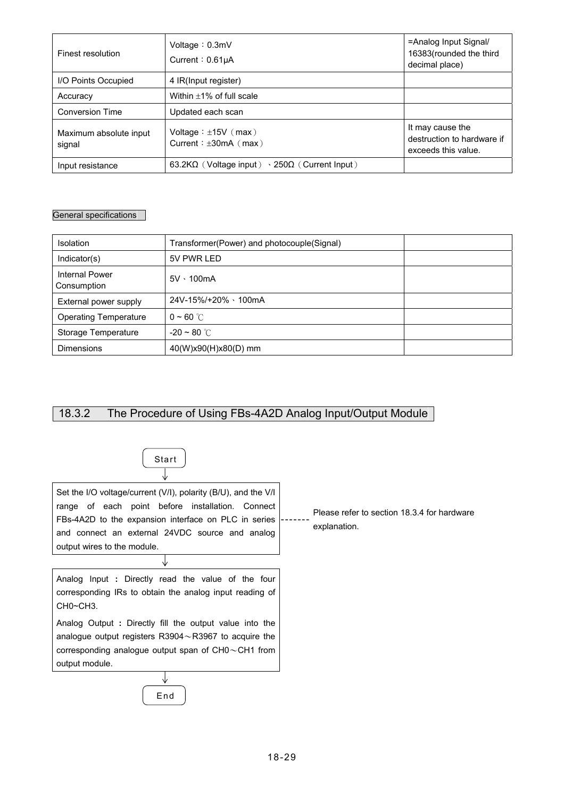| Finest resolution                | Voltage: $0.3mV$<br>Current: $0.61\mu A$                            | =Analog Input Signal/<br>16383(rounded the third<br>decimal place)    |
|----------------------------------|---------------------------------------------------------------------|-----------------------------------------------------------------------|
| I/O Points Occupied              | 4 IR(Input register)                                                |                                                                       |
| Accuracy                         | Within $\pm 1\%$ of full scale                                      |                                                                       |
| <b>Conversion Time</b>           | Updated each scan                                                   |                                                                       |
| Maximum absolute input<br>signal | Voltage: $\pm$ 15V (max)<br>Current: $\pm 30$ mA (max)              | It may cause the<br>destruction to hardware if<br>exceeds this value. |
| Input resistance                 | 63.2K $\Omega$ (Voltage input) $\cdot$ 250 $\Omega$ (Current Input) |                                                                       |

## General specifications

| <b>Isolation</b>                     | Transformer(Power) and photocouple(Signal) |  |
|--------------------------------------|--------------------------------------------|--|
| Indication(s)                        | 5V PWR LED                                 |  |
| <b>Internal Power</b><br>Consumption | $5V \cdot 100mA$                           |  |
| External power supply                | 24V-15%/+20% \100mA                        |  |
| <b>Operating Temperature</b>         | $0 \sim 60$ °C                             |  |
| Storage Temperature                  | $-20 \sim 80$ °C                           |  |
| <b>Dimensions</b>                    | 40(W)x90(H)x80(D) mm                       |  |

# 18.3.2 The Procedure of Using FBs-4A2D Analog Input/Output Module



Please refer to section 18.3.4 for hardware explanation.

Analog Input **:** Directly read the value of the four corresponding IRs to obtain the analog input reading of CH0~CH3.

Analog Output **:** Directly fill the output value into the analogue output registers R3904~R3967 to acquire the corresponding analogue output span of CH0~CH1 from output module.

> ↓ End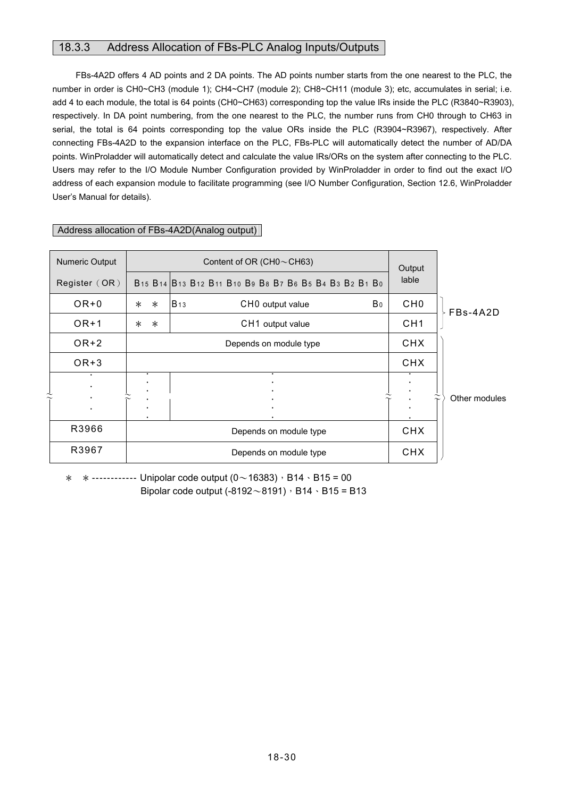## 18.3.3 Address Allocation of FBs-PLC Analog Inputs/Outputs

FBs-4A2D offers 4 AD points and 2 DA points. The AD points number starts from the one nearest to the PLC, the number in order is CH0~CH3 (module 1); CH4~CH7 (module 2); CH8~CH11 (module 3); etc, accumulates in serial; i.e. add 4 to each module, the total is 64 points (CH0~CH63) corresponding top the value IRs inside the PLC (R3840~R3903), respectively. In DA point numbering, from the one nearest to the PLC, the number runs from CH0 through to CH63 in serial, the total is 64 points corresponding top the value ORs inside the PLC (R3904~R3967), respectively. After connecting FBs-4A2D to the expansion interface on the PLC, FBs-PLC will automatically detect the number of AD/DA points. WinProladder will automatically detect and calculate the value IRs/ORs on the system after connecting to the PLC. Users may refer to the I/O Module Number Configuration provided by WinProladder in order to find out the exact I/O address of each expansion module to facilitate programming (see I/O Number Configuration, Section 12.6, WinProladder User's Manual for details).

| Numeric Output | Content of OR (CH0 $\sim$ CH63) |                                                                                                                                                                                                                                                       | Output          |               |
|----------------|---------------------------------|-------------------------------------------------------------------------------------------------------------------------------------------------------------------------------------------------------------------------------------------------------|-----------------|---------------|
| Register (OR)  |                                 | B <sub>15</sub> B <sub>14</sub> B <sub>13</sub> B <sub>12</sub> B <sub>11</sub> B <sub>10</sub> B <sub>9</sub> B <sub>8</sub> B <sub>7</sub> B <sub>6</sub> B <sub>5</sub> B <sub>4</sub> B <sub>3</sub> B <sub>2</sub> B <sub>1</sub> B <sub>0</sub> | lable           |               |
| $OR + 0$       | $\ast$<br>$\ast$                | <b>B</b> 13<br>B٥<br>CHO output value                                                                                                                                                                                                                 | CH <sub>0</sub> | FBs-4A2D      |
| $OR+1$         | $\ast$<br>$\ast$                | CH1 output value                                                                                                                                                                                                                                      | CH <sub>1</sub> |               |
| OR+2           |                                 | Depends on module type                                                                                                                                                                                                                                | <b>CHX</b>      |               |
| $OR + 3$       |                                 |                                                                                                                                                                                                                                                       | <b>CHX</b>      |               |
|                |                                 |                                                                                                                                                                                                                                                       |                 |               |
|                |                                 |                                                                                                                                                                                                                                                       |                 | Other modules |
| R3966          |                                 | Depends on module type                                                                                                                                                                                                                                | <b>CHX</b>      |               |
| R3967          |                                 | Depends on module type                                                                                                                                                                                                                                | <b>CHX</b>      |               |

### Address allocation of FBs-4A2D(Analog output)

 $*$  \* ------------ Unipolar code output  $(0 \sim 16383)$ , B14 \ B15 = 00 Bipolar code output (-8192 $\sim$ 8191), B14  $\cdot$  B15 = B13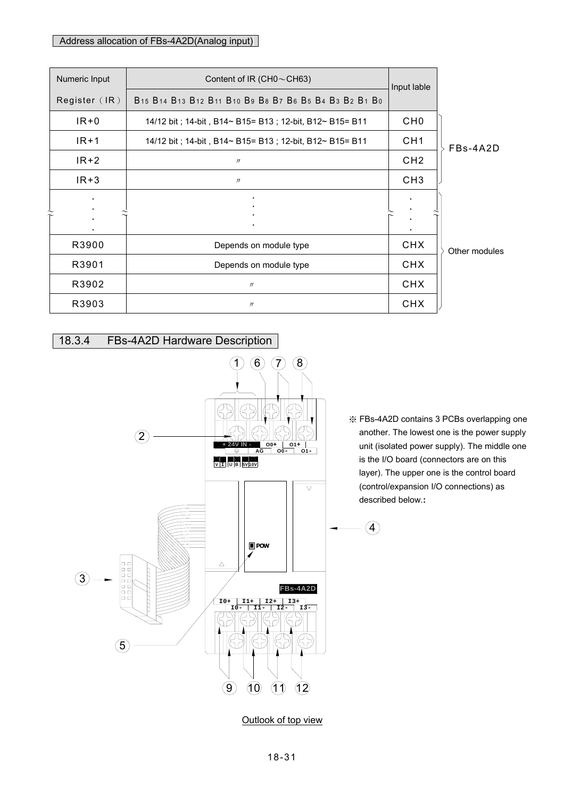## Address allocation of FBs-4A2D(Analog input)

| Numeric Input | Content of IR (CH0 $\sim$ CH63)                         |                 |               |
|---------------|---------------------------------------------------------|-----------------|---------------|
| Register (IR) | B15 B14 B13 B12 B11 B10 B9 B8 B7 B6 B5 B4 B3 B2 B1 B0   | Input lable     |               |
| $IR + 0$      | 14/12 bit; 14-bit, B14~ B15= B13; 12-bit, B12~ B15= B11 | CH <sub>0</sub> |               |
| $IR+1$        | 14/12 bit; 14-bit, B14~ B15= B13; 12-bit, B12~ B15= B11 | CH <sub>1</sub> | FBs-4A2D      |
| $IR+2$        | $^{\prime\prime}$                                       | CH <sub>2</sub> |               |
| $IR + 3$      | $^{\prime\prime}$                                       | CH <sub>3</sub> |               |
|               |                                                         |                 |               |
|               |                                                         |                 |               |
|               |                                                         |                 |               |
| R3900         | Depends on module type                                  | <b>CHX</b>      | Other modules |
| R3901         | Depends on module type                                  | <b>CHX</b>      |               |
| R3902         | $^{\prime\prime}$                                       | <b>CHX</b>      |               |
| R3903         | $^{\prime\prime}$                                       | <b>CHX</b>      |               |



※ FBs-4A2D contains 3 PCBs overlapping one another. The lowest one is the power supply unit (isolated power supply). The middle one is the I/O board (connectors are on this layer). The upper one is the control board (control/expansion I/O connections) as described below.**:**

4

Outlook of top view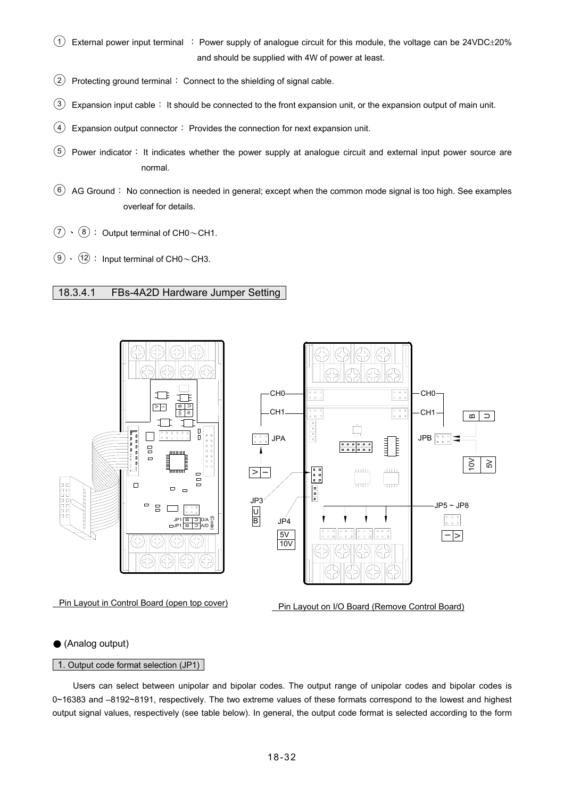- $(1)$  External power input terminal : Power supply of analogue circuit for this module, the voltage can be 24VDC $\pm$ 20% and should be supplied with 4W of power at least.
- $\overline{2}$  Protecting ground terminal: Connect to the shielding of signal cable.
- $\overline{3}$  Expansion input cable: It should be connected to the front expansion unit, or the expansion output of main unit.
- $(4)$  Expansion output connector: Provides the connection for next expansion unit.
- ○<sup>5</sup> Power indicator: It indicates whether the power supply at analogue circuit and external input power source are normal.
- $(6)$  AG Ground: No connection is needed in general; except when the common mode signal is too high. See examples overleaf for details.
- $(7) \cdot (8)$ : Output terminal of CH0~CH1.
- $\overline{(9)} \cdot \overline{(12)}$  : Input terminal of CH0~CH3.

### 18.3.4.1 FBs-4A2D Hardware Jumper Setting



### ● (Analog output)

#### 1. Output code format selection (JP1)

 Users can select between unipolar and bipolar codes. The output range of unipolar codes and bipolar codes is 0~16383 and –8192~8191, respectively. The two extreme values of these formats correspond to the lowest and highest output signal values, respectively (see table below). In general, the output code format is selected according to the form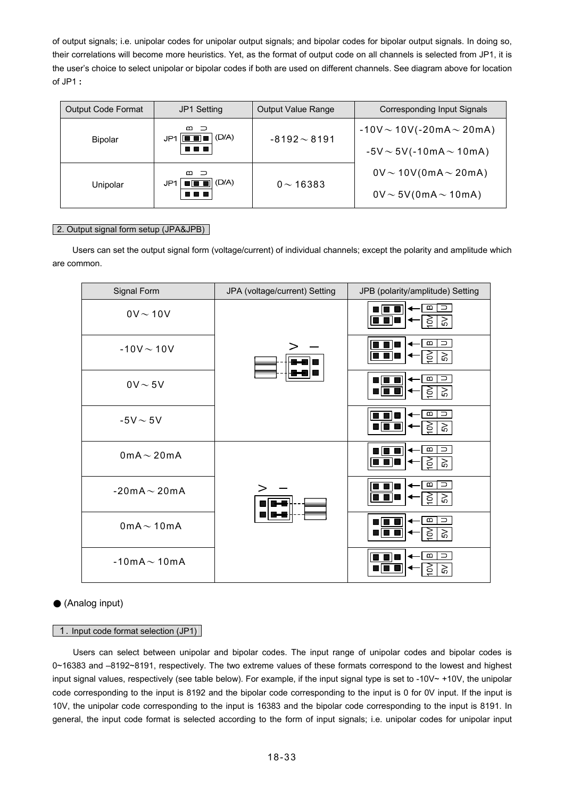of output signals; i.e. unipolar codes for unipolar output signals; and bipolar codes for bipolar output signals. In doing so, their correlations will become more heuristics. Yet, as the format of output code on all channels is selected from JP1, it is the user's choice to select unipolar or bipolar codes if both are used on different channels. See diagram above for location of JP1 **:**

| <b>Output Code Format</b> | JP1 Setting                                                           | Output Value Range | Corresponding Input Signals      |
|---------------------------|-----------------------------------------------------------------------|--------------------|----------------------------------|
|                           | മാ<br>(D/A)<br>$-8192 \sim 8191$<br>JP1<br>11 8 8 8<br><b>Bipolar</b> |                    | $-10V \sim 10V(-20mA \sim 20mA)$ |
|                           |                                                                       |                    | $-5V \sim 5V(-10mA \sim 10mA)$   |
| Unipolar                  | മാ<br>(D/A)<br>JP1<br>3   8   8   1                                   | $0 \sim 16383$     | $0V \sim 10V(0mA \sim 20mA)$     |
|                           |                                                                       |                    | $0V \sim 5V(0mA \sim 10mA)$      |

### 2. Output signal form setup (JPA&JPB)

 Users can set the output signal form (voltage/current) of individual channels; except the polarity and amplitude which are common.

| Signal Form             | JPA (voltage/current) Setting | JPB (polarity/amplitude) Setting                                     |
|-------------------------|-------------------------------|----------------------------------------------------------------------|
| $0V \sim 10V$           |                               | $\infty$<br>$\Rightarrow$<br>$\gtrsim$<br>$\widetilde{\mathsf{S}}$ , |
| $-10V - 10V$            |                               | $\Rightarrow$<br>$\bf{m}$<br>$\approx$<br>3                          |
| $0V \sim 5V$            |                               | $\,$ m<br>$\supset$<br>$\gtrsim$<br>6                                |
| $-5V \sim 5V$           |                               | $\overline{\phantom{a}}$<br>$\infty$<br>$\approx$<br>6               |
| $0$ m $A \sim 20$ m $A$ |                               | $\bf{m}$<br>$\Rightarrow$<br>$\gtrsim$<br>ර                          |
| $-20mA \sim 20mA$       |                               | $\bf{m}$<br>$\Rightarrow$<br>$\approx$<br>ර                          |
| $0$ m $A \sim 10$ m $A$ |                               | $\infty$<br>⊃<br>$\gtrsim$<br>б                                      |
| $-10mA \sim 10mA$       |                               | $\infty$<br>$\Rightarrow$<br>$\gtrsim$<br>б                          |

### ● (Analog input)

#### 1. Input code format selection (JP1)

 Users can select between unipolar and bipolar codes. The input range of unipolar codes and bipolar codes is 0~16383 and –8192~8191, respectively. The two extreme values of these formats correspond to the lowest and highest input signal values, respectively (see table below). For example, if the input signal type is set to -10V $\sim$  +10V, the unipolar code corresponding to the input is 8192 and the bipolar code corresponding to the input is 0 for 0V input. If the input is 10V, the unipolar code corresponding to the input is 16383 and the bipolar code corresponding to the input is 8191. In general, the input code format is selected according to the form of input signals; i.e. unipolar codes for unipolar input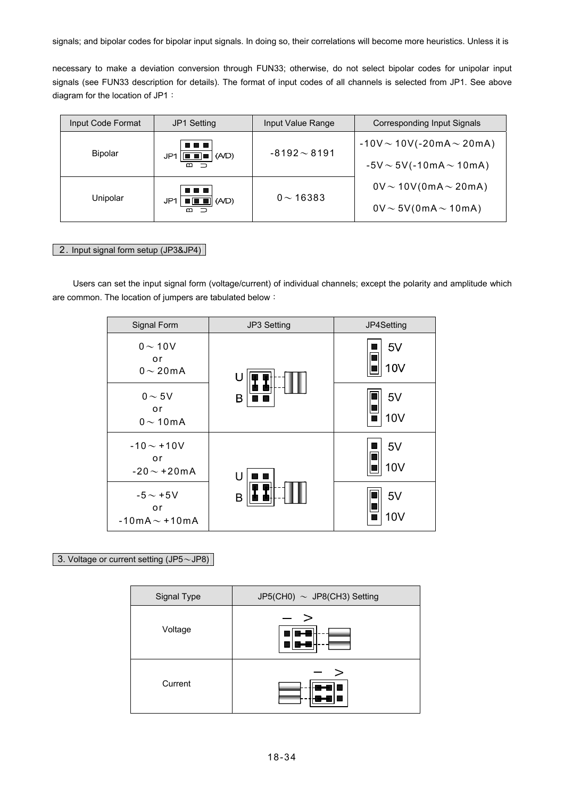signals; and bipolar codes for bipolar input signals. In doing so, their correlations will become more heuristics. Unless it is

necessary to make a deviation conversion through FUN33; otherwise, do not select bipolar codes for unipolar input signals (see FUN33 description for details). The format of input codes of all channels is selected from JP1. See above diagram for the location of JP1:

| Input Code Format | <b>JP1 Setting</b>                                                                                     | Input Value Range                | Corresponding Input Signals    |
|-------------------|--------------------------------------------------------------------------------------------------------|----------------------------------|--------------------------------|
| <b>Bipolar</b>    | 88 B B<br>$-8192 \sim 8191$<br>$\boxed{\blacksquare \blacksquare \blacksquare}$ $(A/D)$<br>JP1.<br>ന – | $-10V \sim 10V(-20mA \sim 20mA)$ |                                |
|                   |                                                                                                        |                                  | $-5V \sim 5V(-10mA \sim 10mA)$ |
| Unipolar          | ---<br>$\blacksquare$ $\blacksquare$ $(AD)$<br>JP1<br>മെ                                               | $0 \sim 16383$                   | $0V \sim 10V(0mA \sim 20mA)$   |
|                   |                                                                                                        |                                  | $0V \sim 5V(0mA \sim 10mA)$    |

### 2. Input signal form setup (JP3&JP4)

 Users can set the input signal form (voltage/current) of individual channels; except the polarity and amplitude which are common. The location of jumpers are tabulated below:

| Signal Form                               | JP3 Setting | JP4Setting            |
|-------------------------------------------|-------------|-----------------------|
| $0 \sim 10V$<br>or<br>$0 \sim 20$ mA      | U           | 5V<br>10V             |
| $0 \sim 5V$<br>or<br>$0 \sim 10$ mA       | В           | 5V<br><b>10V</b>      |
| $-10 - +10V$<br>or<br>$-20 \sim +20$ mA   | U           | 5V<br>10 <sub>V</sub> |
| $-5 \sim +5V$<br>or<br>$-10mA \sim +10mA$ | B           | 5V<br>10 <sub>V</sub> |

## 3. Voltage or current setting (JP5~JP8)

| Signal Type | JP5(CH0) $\sim$ JP8(CH3) Setting |  |
|-------------|----------------------------------|--|
| Voltage     | >                                |  |
| Current     | >                                |  |